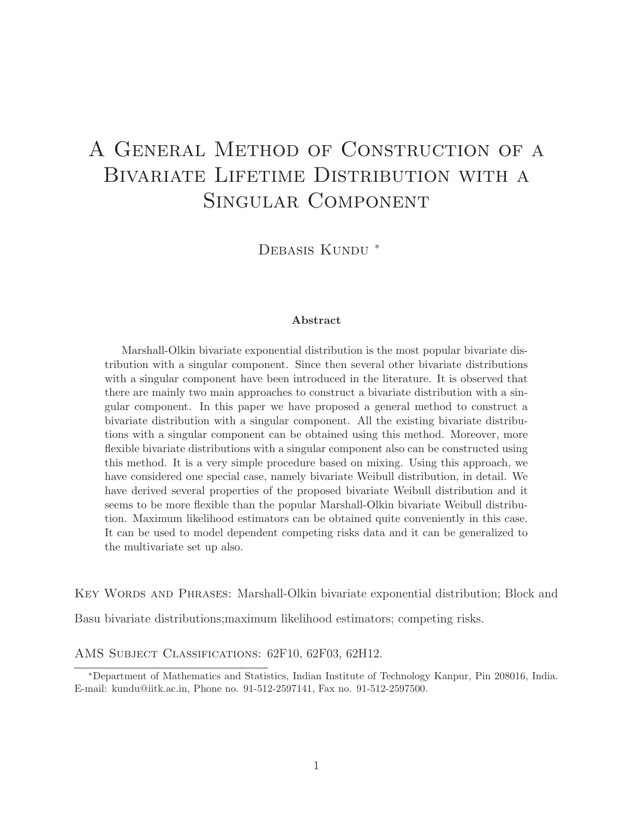# A General Method of Construction of a BIVARIATE LIFETIME DISTRIBUTION WITH A Singular Component

DEBASIS KUNDU<sup>\*</sup>

#### Abstract

Marshall-Olkin bivariate exponential distribution is the most popular bivariate distribution with a singular component. Since then several other bivariate distributions with a singular component have been introduced in the literature. It is observed that there are mainly two main approaches to construct a bivariate distribution with a singular component. In this paper we have proposed a general method to construct a bivariate distribution with a singular component. All the existing bivariate distributions with a singular component can be obtained using this method. Moreover, more flexible bivariate distributions with a singular component also can be constructed using this method. It is a very simple procedure based on mixing. Using this approach, we have considered one special case, namely bivariate Weibull distribution, in detail. We have derived several properties of the proposed bivariate Weibull distribution and it seems to be more flexible than the popular Marshall-Olkin bivariate Weibull distribution. Maximum likelihood estimators can be obtained quite conveniently in this case. It can be used to model dependent competing risks data and it can be generalized to the multivariate set up also.

Key Words and Phrases: Marshall-Olkin bivariate exponential distribution; Block and

Basu bivariate distributions;maximum likelihood estimators; competing risks.

AMS Subject Classifications: 62F10, 62F03, 62H12.

<sup>∗</sup>Department of Mathematics and Statistics, Indian Institute of Technology Kanpur, Pin 208016, India. E-mail: kundu@iitk.ac.in, Phone no. 91-512-2597141, Fax no. 91-512-2597500.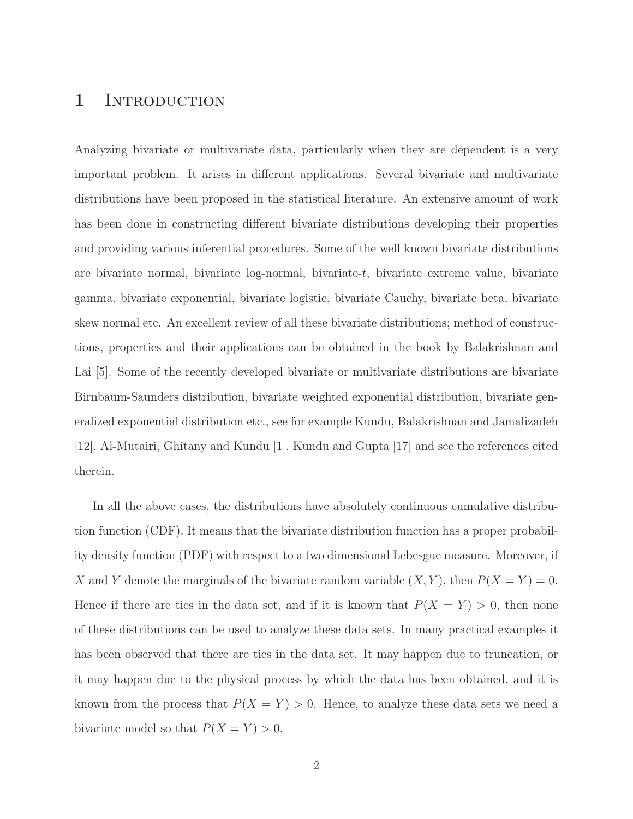## 1 INTRODUCTION

Analyzing bivariate or multivariate data, particularly when they are dependent is a very important problem. It arises in different applications. Several bivariate and multivariate distributions have been proposed in the statistical literature. An extensive amount of work has been done in constructing different bivariate distributions developing their properties and providing various inferential procedures. Some of the well known bivariate distributions are bivariate normal, bivariate log-normal, bivariate-t, bivariate extreme value, bivariate gamma, bivariate exponential, bivariate logistic, bivariate Cauchy, bivariate beta, bivariate skew normal etc. An excellent review of all these bivariate distributions; method of constructions, properties and their applications can be obtained in the book by Balakrishnan and Lai [5]. Some of the recently developed bivariate or multivariate distributions are bivariate Birnbaum-Saunders distribution, bivariate weighted exponential distribution, bivariate generalized exponential distribution etc., see for example Kundu, Balakrishnan and Jamalizadeh [12], Al-Mutairi, Ghitany and Kundu [1], Kundu and Gupta [17] and see the references cited therein.

In all the above cases, the distributions have absolutely continuous cumulative distribution function (CDF). It means that the bivariate distribution function has a proper probability density function (PDF) with respect to a two dimensional Lebesgue measure. Moreover, if X and Y denote the marginals of the bivariate random variable  $(X, Y)$ , then  $P(X = Y) = 0$ . Hence if there are ties in the data set, and if it is known that  $P(X = Y) > 0$ , then none of these distributions can be used to analyze these data sets. In many practical examples it has been observed that there are ties in the data set. It may happen due to truncation, or it may happen due to the physical process by which the data has been obtained, and it is known from the process that  $P(X = Y) > 0$ . Hence, to analyze these data sets we need a bivariate model so that  $P(X = Y) > 0$ .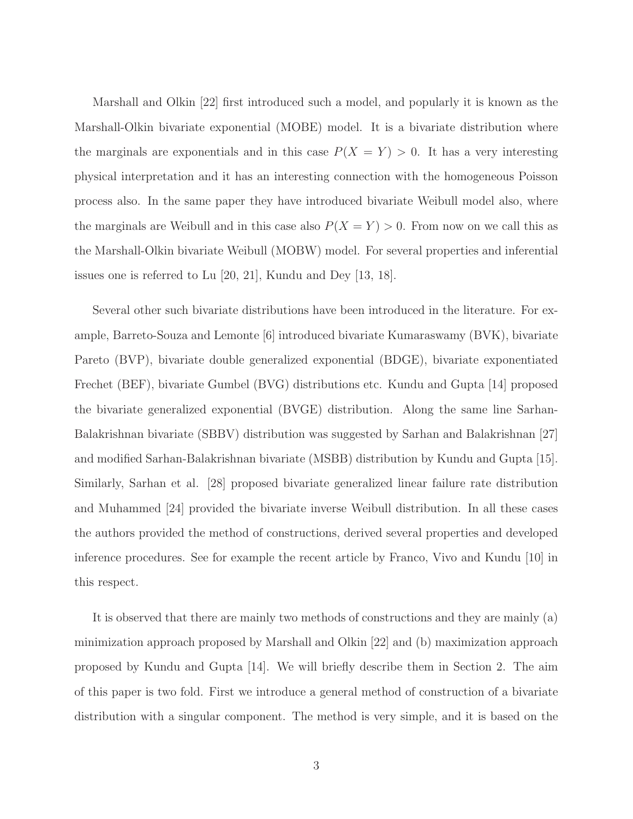Marshall and Olkin [22] first introduced such a model, and popularly it is known as the Marshall-Olkin bivariate exponential (MOBE) model. It is a bivariate distribution where the marginals are exponentials and in this case  $P(X = Y) > 0$ . It has a very interesting physical interpretation and it has an interesting connection with the homogeneous Poisson process also. In the same paper they have introduced bivariate Weibull model also, where the marginals are Weibull and in this case also  $P(X = Y) > 0$ . From now on we call this as the Marshall-Olkin bivariate Weibull (MOBW) model. For several properties and inferential issues one is referred to Lu [20, 21], Kundu and Dey [13, 18].

Several other such bivariate distributions have been introduced in the literature. For example, Barreto-Souza and Lemonte [6] introduced bivariate Kumaraswamy (BVK), bivariate Pareto (BVP), bivariate double generalized exponential (BDGE), bivariate exponentiated Frechet (BEF), bivariate Gumbel (BVG) distributions etc. Kundu and Gupta [14] proposed the bivariate generalized exponential (BVGE) distribution. Along the same line Sarhan-Balakrishnan bivariate (SBBV) distribution was suggested by Sarhan and Balakrishnan [27] and modified Sarhan-Balakrishnan bivariate (MSBB) distribution by Kundu and Gupta [15]. Similarly, Sarhan et al. [28] proposed bivariate generalized linear failure rate distribution and Muhammed [24] provided the bivariate inverse Weibull distribution. In all these cases the authors provided the method of constructions, derived several properties and developed inference procedures. See for example the recent article by Franco, Vivo and Kundu [10] in this respect.

It is observed that there are mainly two methods of constructions and they are mainly (a) minimization approach proposed by Marshall and Olkin [22] and (b) maximization approach proposed by Kundu and Gupta [14]. We will briefly describe them in Section 2. The aim of this paper is two fold. First we introduce a general method of construction of a bivariate distribution with a singular component. The method is very simple, and it is based on the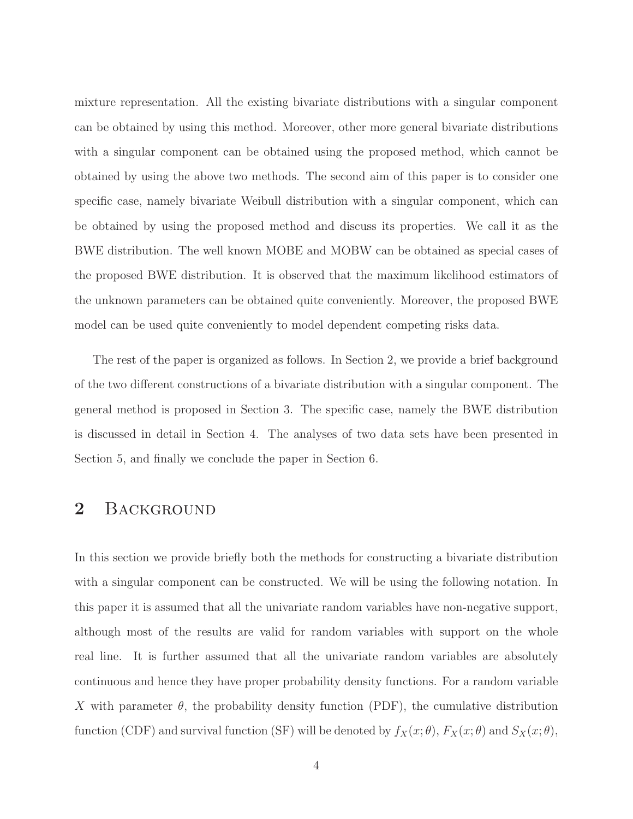mixture representation. All the existing bivariate distributions with a singular component can be obtained by using this method. Moreover, other more general bivariate distributions with a singular component can be obtained using the proposed method, which cannot be obtained by using the above two methods. The second aim of this paper is to consider one specific case, namely bivariate Weibull distribution with a singular component, which can be obtained by using the proposed method and discuss its properties. We call it as the BWE distribution. The well known MOBE and MOBW can be obtained as special cases of the proposed BWE distribution. It is observed that the maximum likelihood estimators of the unknown parameters can be obtained quite conveniently. Moreover, the proposed BWE model can be used quite conveniently to model dependent competing risks data.

The rest of the paper is organized as follows. In Section 2, we provide a brief background of the two different constructions of a bivariate distribution with a singular component. The general method is proposed in Section 3. The specific case, namely the BWE distribution is discussed in detail in Section 4. The analyses of two data sets have been presented in Section 5, and finally we conclude the paper in Section 6.

## 2 BACKGROUND

In this section we provide briefly both the methods for constructing a bivariate distribution with a singular component can be constructed. We will be using the following notation. In this paper it is assumed that all the univariate random variables have non-negative support, although most of the results are valid for random variables with support on the whole real line. It is further assumed that all the univariate random variables are absolutely continuous and hence they have proper probability density functions. For a random variable X with parameter  $\theta$ , the probability density function (PDF), the cumulative distribution function (CDF) and survival function (SF) will be denoted by  $f_X(x; \theta)$ ,  $F_X(x; \theta)$  and  $S_X(x; \theta)$ ,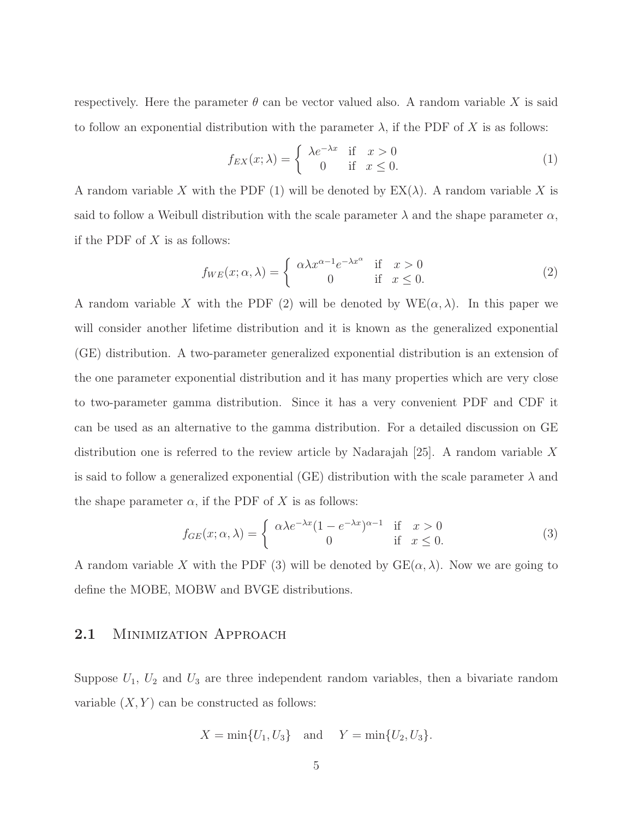respectively. Here the parameter  $\theta$  can be vector valued also. A random variable X is said to follow an exponential distribution with the parameter  $\lambda$ , if the PDF of X is as follows:

$$
f_{EX}(x; \lambda) = \begin{cases} \lambda e^{-\lambda x} & \text{if } x > 0 \\ 0 & \text{if } x \le 0. \end{cases}
$$
 (1)

A random variable X with the PDF (1) will be denoted by  $EX(\lambda)$ . A random variable X is said to follow a Weibull distribution with the scale parameter  $\lambda$  and the shape parameter  $\alpha$ , if the PDF of  $X$  is as follows:

$$
f_{WE}(x; \alpha, \lambda) = \begin{cases} \alpha \lambda x^{\alpha - 1} e^{-\lambda x^{\alpha}} & \text{if } x > 0 \\ 0 & \text{if } x \le 0. \end{cases}
$$
 (2)

A random variable X with the PDF (2) will be denoted by  $WE(\alpha, \lambda)$ . In this paper we will consider another lifetime distribution and it is known as the generalized exponential (GE) distribution. A two-parameter generalized exponential distribution is an extension of the one parameter exponential distribution and it has many properties which are very close to two-parameter gamma distribution. Since it has a very convenient PDF and CDF it can be used as an alternative to the gamma distribution. For a detailed discussion on GE distribution one is referred to the review article by Nadarajah  $|25|$ . A random variable X is said to follow a generalized exponential (GE) distribution with the scale parameter  $\lambda$  and the shape parameter  $\alpha$ , if the PDF of X is as follows:

$$
f_{GE}(x; \alpha, \lambda) = \begin{cases} \alpha \lambda e^{-\lambda x} (1 - e^{-\lambda x})^{\alpha - 1} & \text{if } x > 0 \\ 0 & \text{if } x \le 0. \end{cases}
$$
 (3)

A random variable X with the PDF (3) will be denoted by  $GE(\alpha, \lambda)$ . Now we are going to define the MOBE, MOBW and BVGE distributions.

#### 2.1 MINIMIZATION APPROACH

Suppose  $U_1$ ,  $U_2$  and  $U_3$  are three independent random variables, then a bivariate random variable  $(X, Y)$  can be constructed as follows:

$$
X = \min\{U_1, U_3\}
$$
 and  $Y = \min\{U_2, U_3\}.$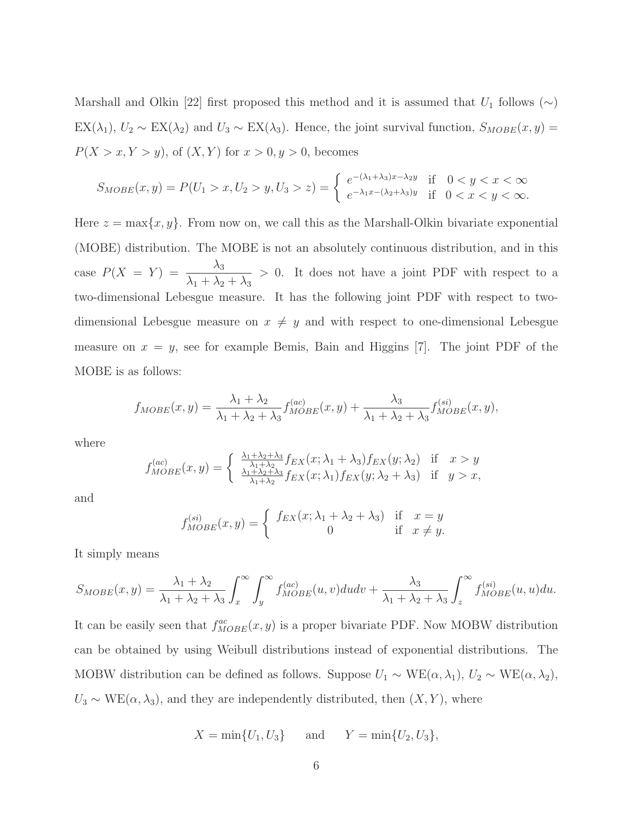Marshall and Olkin [22] first proposed this method and it is assumed that  $U_1$  follows (∼) EX( $\lambda_1$ ),  $U_2 \sim EX(\lambda_2)$  and  $U_3 \sim EX(\lambda_3)$ . Hence, the joint survival function,  $S_{MOBE}(x, y)$  =  $P(X > x, Y > y)$ , of  $(X, Y)$  for  $x > 0, y > 0$ , becomes

$$
S_{MOBE}(x,y) = P(U_1 > x, U_2 > y, U_3 > z) = \begin{cases} e^{-(\lambda_1 + \lambda_3)x - \lambda_2y} & \text{if } 0 < y < x < \infty \\ e^{-\lambda_1x - (\lambda_2 + \lambda_3)y} & \text{if } 0 < x < y < \infty. \end{cases}
$$

Here  $z = \max\{x, y\}$ . From now on, we call this as the Marshall-Olkin bivariate exponential (MOBE) distribution. The MOBE is not an absolutely continuous distribution, and in this case  $P(X = Y) = \frac{\lambda_3}{\lambda_3}$  $\lambda_1 + \lambda_2 + \lambda_3$ > 0. It does not have a joint PDF with respect to a two-dimensional Lebesgue measure. It has the following joint PDF with respect to twodimensional Lebesgue measure on  $x \neq y$  and with respect to one-dimensional Lebesgue measure on  $x = y$ , see for example Bemis, Bain and Higgins [7]. The joint PDF of the MOBE is as follows:

$$
f_{MOBE}(x,y) = \frac{\lambda_1 + \lambda_2}{\lambda_1 + \lambda_2 + \lambda_3} f_{MOBE}^{(ac)}(x,y) + \frac{\lambda_3}{\lambda_1 + \lambda_2 + \lambda_3} f_{MOBE}^{(si)}(x,y),
$$

where

$$
f_{MOBE}^{(ac)}(x,y) = \begin{cases} \frac{\lambda_1 + \lambda_2 + \lambda_3}{\lambda_1 + \lambda_2} f_{EX}(x; \lambda_1 + \lambda_3) f_{EX}(y; \lambda_2) & \text{if } x > y \\ \frac{\lambda_1 + \lambda_2 + \lambda_3}{\lambda_1 + \lambda_2} f_{EX}(x; \lambda_1) f_{EX}(y; \lambda_2 + \lambda_3) & \text{if } y > x, \end{cases}
$$

and

$$
f_{MOBE}^{(si)}(x,y) = \begin{cases} f_{EX}(x; \lambda_1 + \lambda_2 + \lambda_3) & \text{if } x = y \\ 0 & \text{if } x \neq y. \end{cases}
$$

It simply means

$$
S_{MOBE}(x,y) = \frac{\lambda_1 + \lambda_2}{\lambda_1 + \lambda_2 + \lambda_3} \int_x^{\infty} \int_y^{\infty} f_{MOBE}^{(ac)}(u,v) du dv + \frac{\lambda_3}{\lambda_1 + \lambda_2 + \lambda_3} \int_z^{\infty} f_{MOBE}^{(si)}(u,u) du.
$$

It can be easily seen that  $f_{MOBE}^{ac}(x, y)$  is a proper bivariate PDF. Now MOBW distribution can be obtained by using Weibull distributions instead of exponential distributions. The MOBW distribution can be defined as follows. Suppose  $U_1 \sim \text{WE}(\alpha, \lambda_1)$ ,  $U_2 \sim \text{WE}(\alpha, \lambda_2)$ ,  $U_3 \sim \text{WE}(\alpha, \lambda_3)$ , and they are independently distributed, then  $(X, Y)$ , where

$$
X = \min\{U_1, U_3\}
$$
 and  $Y = \min\{U_2, U_3\},\$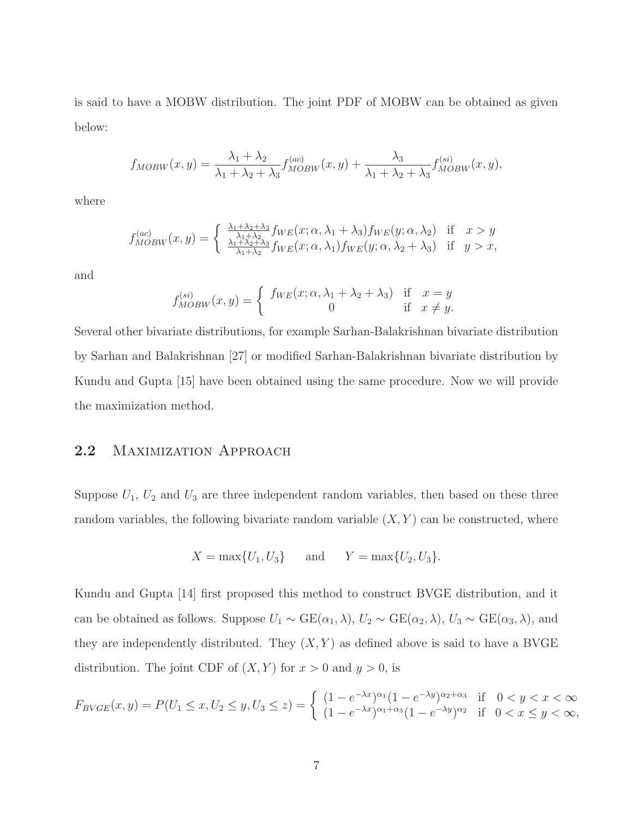is said to have a MOBW distribution. The joint PDF of MOBW can be obtained as given below:

$$
f_{MOBW}(x,y) = \frac{\lambda_1 + \lambda_2}{\lambda_1 + \lambda_2 + \lambda_3} f_{MOBW}^{(ac)}(x,y) + \frac{\lambda_3}{\lambda_1 + \lambda_2 + \lambda_3} f_{MOBW}^{(si)}(x,y),
$$

where

$$
f_{MOBW}^{(ac)}(x,y) = \begin{cases} \frac{\lambda_1 + \lambda_2 + \lambda_3}{\lambda_1 + \lambda_2} f_{WE}(x;\alpha,\lambda_1 + \lambda_3) f_{WE}(y;\alpha,\lambda_2) & \text{if } x > y \\ \frac{\lambda_1 + \lambda_2 + \lambda_3}{\lambda_1 + \lambda_2} f_{WE}(x;\alpha,\lambda_1) f_{WE}(y;\alpha,\lambda_2 + \lambda_3) & \text{if } y > x, \end{cases}
$$

and

$$
f_{MOBW}^{(si)}(x,y) = \begin{cases} f_{WE}(x;\alpha,\lambda_1 + \lambda_2 + \lambda_3) & \text{if } x = y \\ 0 & \text{if } x \neq y. \end{cases}
$$

Several other bivariate distributions, for example Sarhan-Balakrishnan bivariate distribution by Sarhan and Balakrishnan [27] or modified Sarhan-Balakrishnan bivariate distribution by Kundu and Gupta [15] have been obtained using the same procedure. Now we will provide the maximization method.

#### 2.2 MAXIMIZATION APPROACH

Suppose  $U_1$ ,  $U_2$  and  $U_3$  are three independent random variables, then based on these three random variables, the following bivariate random variable  $(X, Y)$  can be constructed, where

$$
X = \max\{U_1, U_3\}
$$
 and  $Y = \max\{U_2, U_3\}.$ 

Kundu and Gupta [14] first proposed this method to construct BVGE distribution, and it can be obtained as follows. Suppose  $U_1 \sim \text{GE}(\alpha_1, \lambda)$ ,  $U_2 \sim \text{GE}(\alpha_2, \lambda)$ ,  $U_3 \sim \text{GE}(\alpha_3, \lambda)$ , and they are independently distributed. They  $(X, Y)$  as defined above is said to have a BVGE distribution. The joint CDF of  $(X, Y)$  for  $x > 0$  and  $y > 0$ , is

$$
F_{BVGE}(x,y) = P(U_1 \le x, U_2 \le y, U_3 \le z) = \begin{cases} (1 - e^{-\lambda x})^{\alpha_1} (1 - e^{-\lambda y})^{\alpha_2 + \alpha_3} & \text{if } 0 < y < x < \infty \\ (1 - e^{-\lambda x})^{\alpha_1 + \alpha_3} (1 - e^{-\lambda y})^{\alpha_2} & \text{if } 0 < x \le y < \infty, \end{cases}
$$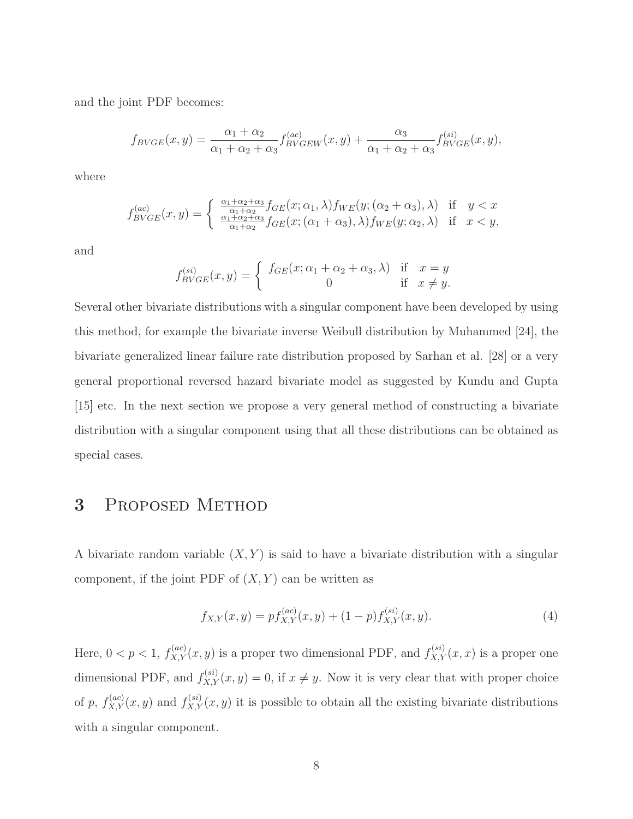and the joint PDF becomes:

$$
f_{BVGE}(x,y) = \frac{\alpha_1 + \alpha_2}{\alpha_1 + \alpha_2 + \alpha_3} f_{BVGEW}^{(ac)}(x,y) + \frac{\alpha_3}{\alpha_1 + \alpha_2 + \alpha_3} f_{BVGE}^{(si)}(x,y),
$$

where

$$
f_{BVGE}^{(ac)}(x,y) = \begin{cases} \frac{\alpha_1 + \alpha_2 + \alpha_3}{\alpha_1 + \alpha_2} f_{GE}(x; \alpha_1, \lambda) f_{WE}(y; (\alpha_2 + \alpha_3), \lambda) & \text{if } y < x \\ \frac{\alpha_1 + \alpha_2 + \alpha_3}{\alpha_1 + \alpha_2} f_{GE}(x; (\alpha_1 + \alpha_3), \lambda) f_{WE}(y; \alpha_2, \lambda) & \text{if } x < y, \end{cases}
$$

and

$$
f_{BVGE}^{(si)}(x,y) = \begin{cases} f_{GE}(x; \alpha_1 + \alpha_2 + \alpha_3, \lambda) & \text{if } x = y \\ 0 & \text{if } x \neq y. \end{cases}
$$

Several other bivariate distributions with a singular component have been developed by using this method, for example the bivariate inverse Weibull distribution by Muhammed [24], the bivariate generalized linear failure rate distribution proposed by Sarhan et al. [28] or a very general proportional reversed hazard bivariate model as suggested by Kundu and Gupta [15] etc. In the next section we propose a very general method of constructing a bivariate distribution with a singular component using that all these distributions can be obtained as special cases.

# 3 Proposed Method

A bivariate random variable  $(X, Y)$  is said to have a bivariate distribution with a singular component, if the joint PDF of  $(X, Y)$  can be written as

$$
f_{X,Y}(x,y) = pf_{X,Y}^{(ac)}(x,y) + (1-p)f_{X,Y}^{(si)}(x,y).
$$
\n(4)

Here,  $0 < p < 1$ ,  $f_{X,Y}^{(ac)}(x, y)$  is a proper two dimensional PDF, and  $f_{X,Y}^{(si)}(x, x)$  is a proper one dimensional PDF, and  $f_{X,Y}^{(si)}(x,y) = 0$ , if  $x \neq y$ . Now it is very clear that with proper choice of p,  $f_{X,Y}^{(ac)}(x,y)$  and  $f_{X,Y}^{(si)}(x,y)$  it is possible to obtain all the existing bivariate distributions with a singular component.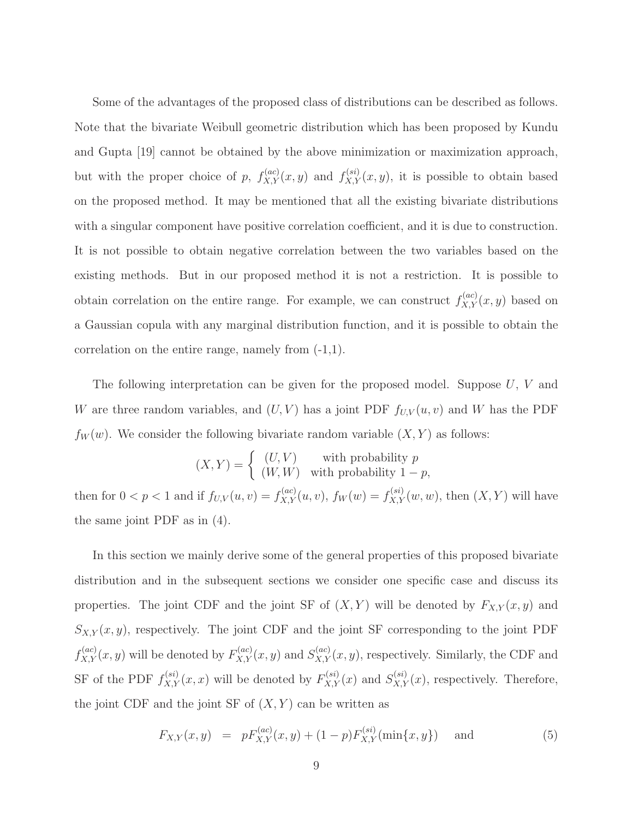Some of the advantages of the proposed class of distributions can be described as follows. Note that the bivariate Weibull geometric distribution which has been proposed by Kundu and Gupta [19] cannot be obtained by the above minimization or maximization approach, but with the proper choice of p,  $f_{X,Y}^{(ac)}(x,y)$  and  $f_{X,Y}^{(si)}(x,y)$ , it is possible to obtain based on the proposed method. It may be mentioned that all the existing bivariate distributions with a singular component have positive correlation coefficient, and it is due to construction. It is not possible to obtain negative correlation between the two variables based on the existing methods. But in our proposed method it is not a restriction. It is possible to obtain correlation on the entire range. For example, we can construct  $f_{X,Y}^{(ac)}(x, y)$  based on a Gaussian copula with any marginal distribution function, and it is possible to obtain the correlation on the entire range, namely from (-1,1).

The following interpretation can be given for the proposed model. Suppose U, V and W are three random variables, and  $(U, V)$  has a joint PDF  $f_{U, V}(u, v)$  and W has the PDF  $f_W(w)$ . We consider the following bivariate random variable  $(X, Y)$  as follows:

$$
(X,Y) = \begin{cases} (U,V) & \text{with probability } p \\ (W,W) & \text{with probability } 1-p, \end{cases}
$$

then for  $0 < p < 1$  and if  $f_{U,V}(u, v) = f_{X,Y}(u, v)$ ,  $f_W(w) = f_{X,Y}(w, w)$ , then  $(X, Y)$  will have the same joint PDF as in (4).

In this section we mainly derive some of the general properties of this proposed bivariate distribution and in the subsequent sections we consider one specific case and discuss its properties. The joint CDF and the joint SF of  $(X, Y)$  will be denoted by  $F_{X,Y}(x, y)$  and  $S_{X,Y}(x, y)$ , respectively. The joint CDF and the joint SF corresponding to the joint PDF  $f_{X,Y}^{(ac)}(x,y)$  will be denoted by  $F_{X,Y}^{(ac)}(x,y)$  and  $S_{X,Y}^{(ac)}(x,y)$ , respectively. Similarly, the CDF and SF of the PDF  $f_{X,Y}^{(si)}(x,x)$  will be denoted by  $F_{X,Y}^{(si)}(x)$  and  $S_{X,Y}^{(si)}(x)$ , respectively. Therefore, the joint CDF and the joint SF of  $(X, Y)$  can be written as

$$
F_{X,Y}(x,y) = pF_{X,Y}^{(ac)}(x,y) + (1-p)F_{X,Y}^{(si)}(\min\{x,y\}) \text{ and } (5)
$$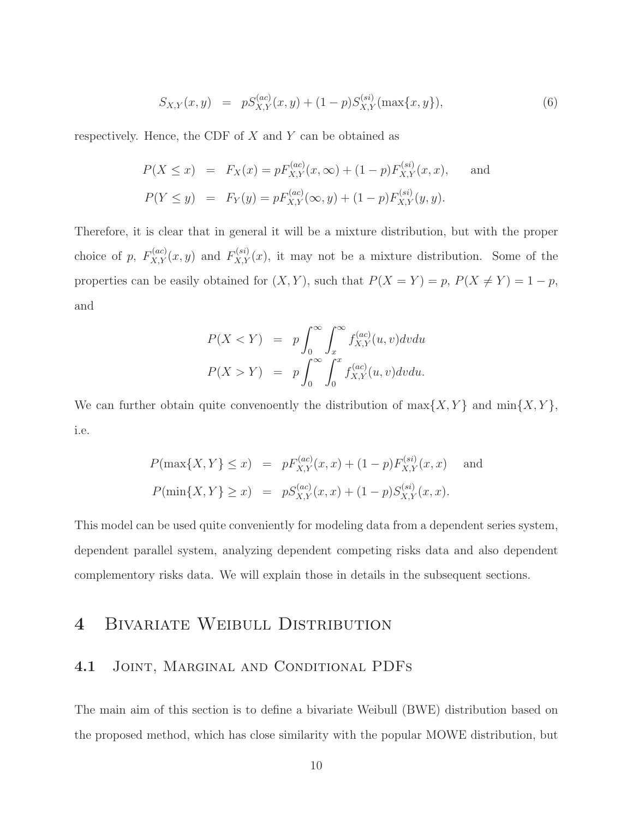$$
S_{X,Y}(x,y) = pS_{X,Y}^{(ac)}(x,y) + (1-p)S_{X,Y}^{(si)}(\max\{x,y\}), \tag{6}
$$

respectively. Hence, the CDF of  $X$  and  $Y$  can be obtained as

$$
P(X \le x) = F_X(x) = pF_{X,Y}^{(ac)}(x, \infty) + (1 - p)F_{X,Y}^{(si)}(x, x), \text{ and}
$$
  

$$
P(Y \le y) = F_Y(y) = pF_{X,Y}^{(ac)}(\infty, y) + (1 - p)F_{X,Y}^{(si)}(y, y).
$$

Therefore, it is clear that in general it will be a mixture distribution, but with the proper choice of p,  $F_{X,Y}^{(ac)}(x,y)$  and  $F_{X,Y}^{(si)}(x)$ , it may not be a mixture distribution. Some of the properties can be easily obtained for  $(X, Y)$ , such that  $P(X = Y) = p$ ,  $P(X \neq Y) = 1 - p$ , and

$$
P(X < Y) = p \int_0^\infty \int_x^\infty f_{X,Y}^{(ac)}(u, v) dv du
$$
  

$$
P(X > Y) = p \int_0^\infty \int_0^x f_{X,Y}^{(ac)}(u, v) dv du.
$$

We can further obtain quite convenoently the distribution of  $\max\{X, Y\}$  and  $\min\{X, Y\}$ , i.e.

$$
P(\max\{X, Y\} \le x) = pF_{X,Y}^{(ac)}(x, x) + (1 - p)F_{X,Y}^{(si)}(x, x) \text{ and}
$$
  

$$
P(\min\{X, Y\} \ge x) = pS_{X,Y}^{(ac)}(x, x) + (1 - p)S_{X,Y}^{(si)}(x, x).
$$

This model can be used quite conveniently for modeling data from a dependent series system, dependent parallel system, analyzing dependent competing risks data and also dependent complementory risks data. We will explain those in details in the subsequent sections.

# 4 BIVARIATE WEIBULL DISTRIBUTION

#### 4.1 Joint, Marginal and Conditional PDFs

The main aim of this section is to define a bivariate Weibull (BWE) distribution based on the proposed method, which has close similarity with the popular MOWE distribution, but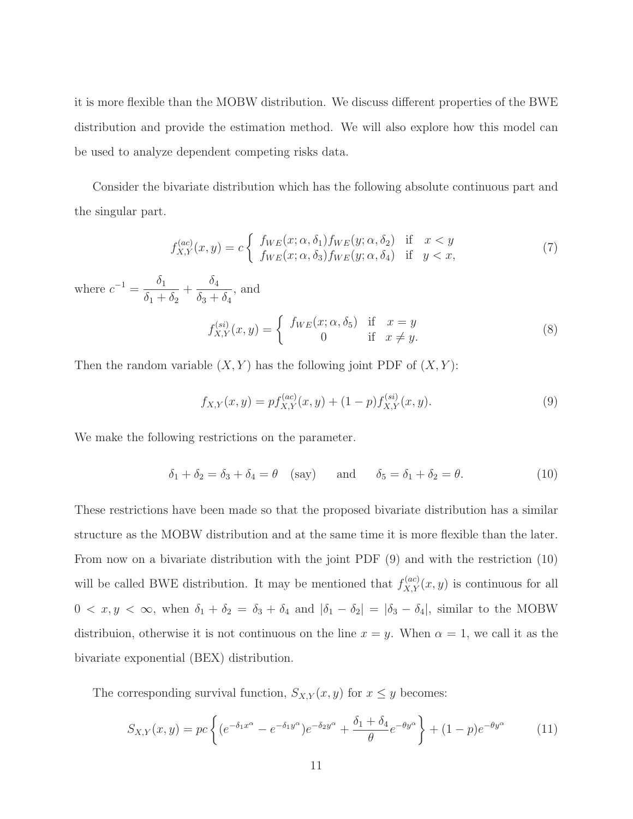it is more flexible than the MOBW distribution. We discuss different properties of the BWE distribution and provide the estimation method. We will also explore how this model can be used to analyze dependent competing risks data.

Consider the bivariate distribution which has the following absolute continuous part and the singular part.

$$
f_{X,Y}^{(ac)}(x,y) = c \begin{cases} f_{WE}(x;\alpha,\delta_1) f_{WE}(y;\alpha,\delta_2) & \text{if } x < y\\ f_{WE}(x;\alpha,\delta_3) f_{WE}(y;\alpha,\delta_4) & \text{if } y < x,\end{cases}
$$
(7)

where  $c^{-1} = \frac{\delta_1}{s}$  $\frac{\delta_1}{\delta_1 + \delta_2} + \frac{\delta_4}{\delta_3 + \delta_4}$  $\frac{\delta_4}{\delta_3 + \delta_4}$ , and

$$
f_{X,Y}^{(si)}(x,y) = \begin{cases} f_{WE}(x;\alpha,\delta_5) & \text{if } x=y\\ 0 & \text{if } x \neq y. \end{cases}
$$
 (8)

Then the random variable  $(X, Y)$  has the following joint PDF of  $(X, Y)$ :

$$
f_{X,Y}(x,y) = pf_{X,Y}^{(ac)}(x,y) + (1-p)f_{X,Y}^{(si)}(x,y).
$$
\n(9)

We make the following restrictions on the parameter.

$$
\delta_1 + \delta_2 = \delta_3 + \delta_4 = \theta \quad \text{(say)} \quad \text{and} \quad \delta_5 = \delta_1 + \delta_2 = \theta. \tag{10}
$$

These restrictions have been made so that the proposed bivariate distribution has a similar structure as the MOBW distribution and at the same time it is more flexible than the later. From now on a bivariate distribution with the joint PDF (9) and with the restriction (10) will be called BWE distribution. It may be mentioned that  $f_{X,Y}^{(ac)}(x,y)$  is continuous for all  $0 < x, y < \infty$ , when  $\delta_1 + \delta_2 = \delta_3 + \delta_4$  and  $|\delta_1 - \delta_2| = |\delta_3 - \delta_4|$ , similar to the MOBW distribuion, otherwise it is not continuous on the line  $x = y$ . When  $\alpha = 1$ , we call it as the bivariate exponential (BEX) distribution.

The corresponding survival function,  $S_{X,Y}(x, y)$  for  $x \leq y$  becomes:

$$
S_{X,Y}(x,y) = pc \left\{ (e^{-\delta_1 x^{\alpha}} - e^{-\delta_1 y^{\alpha}}) e^{-\delta_2 y^{\alpha}} + \frac{\delta_1 + \delta_4}{\theta} e^{-\theta y^{\alpha}} \right\} + (1-p) e^{-\theta y^{\alpha}} \tag{11}
$$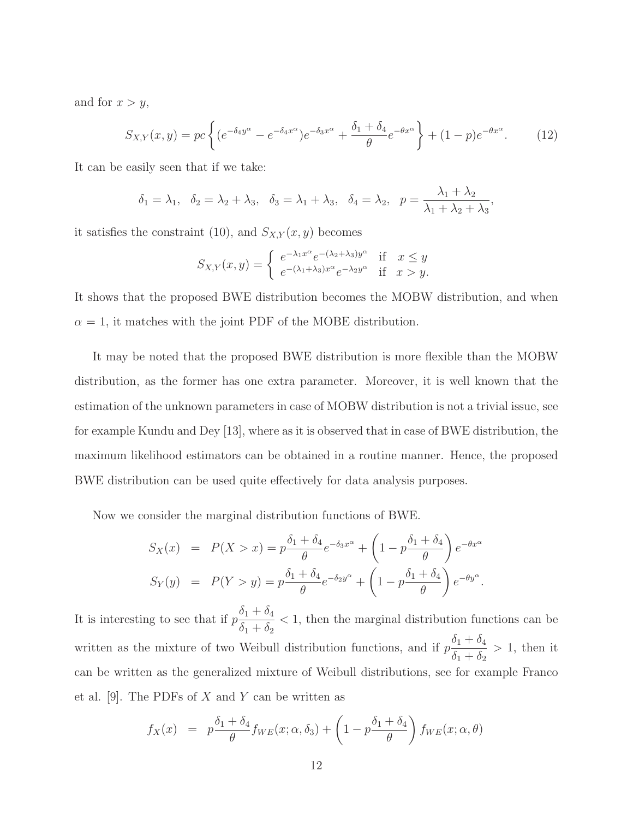and for  $x > y$ ,

$$
S_{X,Y}(x,y) = pc \left\{ (e^{-\delta_4 y^{\alpha}} - e^{-\delta_4 x^{\alpha}}) e^{-\delta_3 x^{\alpha}} + \frac{\delta_1 + \delta_4}{\theta} e^{-\theta x^{\alpha}} \right\} + (1-p) e^{-\theta x^{\alpha}}.
$$
 (12)

It can be easily seen that if we take:

$$
\delta_1 = \lambda_1, \quad \delta_2 = \lambda_2 + \lambda_3, \quad \delta_3 = \lambda_1 + \lambda_3, \quad \delta_4 = \lambda_2, \quad p = \frac{\lambda_1 + \lambda_2}{\lambda_1 + \lambda_2 + \lambda_3},
$$

it satisfies the constraint (10), and  $S_{X,Y}(x, y)$  becomes

$$
S_{X,Y}(x,y) = \begin{cases} e^{-\lambda_1 x^{\alpha}} e^{-(\lambda_2 + \lambda_3)y^{\alpha}} & \text{if } x \le y \\ e^{-(\lambda_1 + \lambda_3)x^{\alpha}} e^{-\lambda_2 y^{\alpha}} & \text{if } x > y. \end{cases}
$$

It shows that the proposed BWE distribution becomes the MOBW distribution, and when  $\alpha = 1$ , it matches with the joint PDF of the MOBE distribution.

It may be noted that the proposed BWE distribution is more flexible than the MOBW distribution, as the former has one extra parameter. Moreover, it is well known that the estimation of the unknown parameters in case of MOBW distribution is not a trivial issue, see for example Kundu and Dey [13], where as it is observed that in case of BWE distribution, the maximum likelihood estimators can be obtained in a routine manner. Hence, the proposed BWE distribution can be used quite effectively for data analysis purposes.

Now we consider the marginal distribution functions of BWE.

$$
S_X(x) = P(X > x) = p \frac{\delta_1 + \delta_4}{\theta} e^{-\delta_3 x^{\alpha}} + \left(1 - p \frac{\delta_1 + \delta_4}{\theta}\right) e^{-\theta x^{\alpha}}
$$

$$
S_Y(y) = P(Y > y) = p \frac{\delta_1 + \delta_4}{\theta} e^{-\delta_2 y^{\alpha}} + \left(1 - p \frac{\delta_1 + \delta_4}{\theta}\right) e^{-\theta y^{\alpha}}.
$$

It is interesting to see that if  $p\frac{\delta_1+\delta_4}{\delta_1+\delta_2}$  $\delta_1 + \delta_2$ < 1, then the marginal distribution functions can be written as the mixture of two Weibull distribution functions, and if  $p\frac{\delta_1+\delta_4}{\delta_2+\delta_3}$  $\delta_1 + \delta_2$  $> 1$ , then it can be written as the generalized mixture of Weibull distributions, see for example Franco et al. [9]. The PDFs of  $X$  and  $Y$  can be written as

$$
f_X(x) = p \frac{\delta_1 + \delta_4}{\theta} f_{WE}(x; \alpha, \delta_3) + \left(1 - p \frac{\delta_1 + \delta_4}{\theta}\right) f_{WE}(x; \alpha, \theta)
$$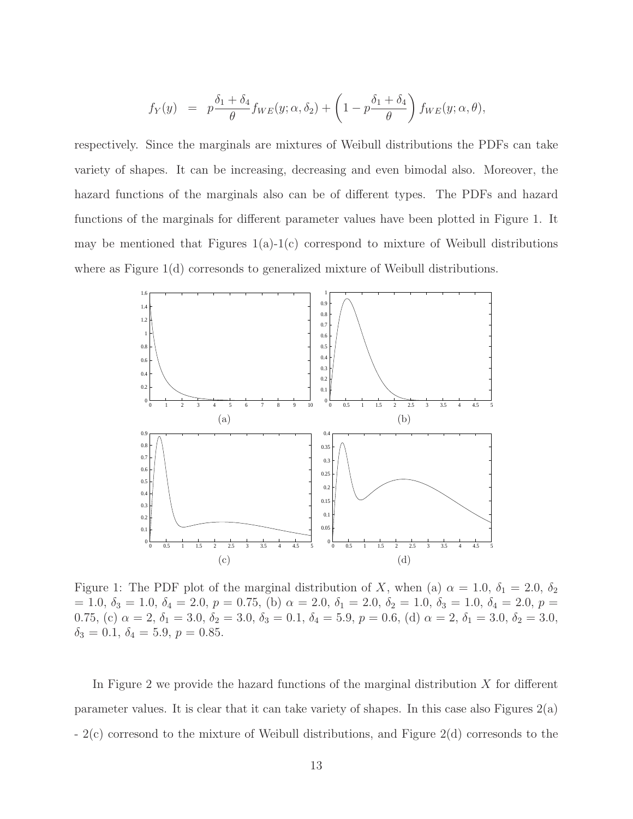$$
f_Y(y) = p \frac{\delta_1 + \delta_4}{\theta} f_{WE}(y; \alpha, \delta_2) + \left(1 - p \frac{\delta_1 + \delta_4}{\theta}\right) f_{WE}(y; \alpha, \theta),
$$

respectively. Since the marginals are mixtures of Weibull distributions the PDFs can take variety of shapes. It can be increasing, decreasing and even bimodal also. Moreover, the hazard functions of the marginals also can be of different types. The PDFs and hazard functions of the marginals for different parameter values have been plotted in Figure 1. It may be mentioned that Figures  $1(a)-1(c)$  correspond to mixture of Weibull distributions where as Figure 1(d) corresonds to generalized mixture of Weibull distributions.



Figure 1: The PDF plot of the marginal distribution of X, when (a)  $\alpha = 1.0$ ,  $\delta_1 = 2.0$ ,  $\delta_2$  $= 1.0, \delta_3 = 1.0, \delta_4 = 2.0, p = 0.75,$  (b)  $\alpha = 2.0, \delta_1 = 2.0, \delta_2 = 1.0, \delta_3 = 1.0, \delta_4 = 2.0, p = 0.0,$ 0.75, (c)  $\alpha = 2$ ,  $\delta_1 = 3.0$ ,  $\delta_2 = 3.0$ ,  $\delta_3 = 0.1$ ,  $\delta_4 = 5.9$ ,  $p = 0.6$ , (d)  $\alpha = 2$ ,  $\delta_1 = 3.0$ ,  $\delta_2 = 3.0$ ,  $\delta_3 = 0.1, \delta_4 = 5.9, p = 0.85.$ 

In Figure 2 we provide the hazard functions of the marginal distribution  $X$  for different parameter values. It is clear that it can take variety of shapes. In this case also Figures  $2(a)$ - 2(c) corresond to the mixture of Weibull distributions, and Figure 2(d) corresonds to the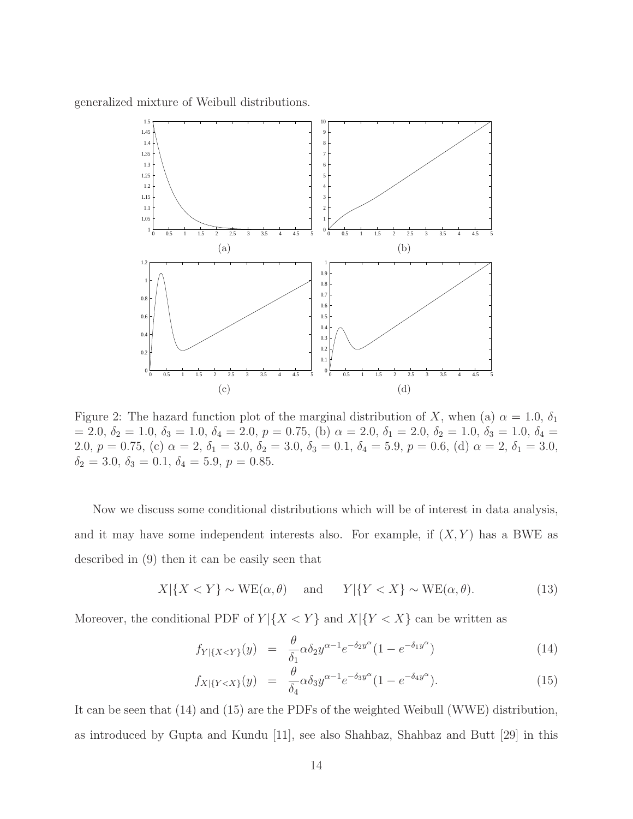generalized mixture of Weibull distributions.



Figure 2: The hazard function plot of the marginal distribution of X, when (a)  $\alpha = 1.0$ ,  $\delta_1$  $= 2.0, \delta_2 = 1.0, \delta_3 = 1.0, \delta_4 = 2.0, p = 0.75,$  (b)  $\alpha = 2.0, \delta_1 = 2.0, \delta_2 = 1.0, \delta_3 = 1.0, \delta_4 = 1.0,$ 2.0,  $p = 0.75$ , (c)  $\alpha = 2$ ,  $\delta_1 = 3.0$ ,  $\delta_2 = 3.0$ ,  $\delta_3 = 0.1$ ,  $\delta_4 = 5.9$ ,  $p = 0.6$ , (d)  $\alpha = 2$ ,  $\delta_1 = 3.0$ ,  $\delta_2 = 3.0, \delta_3 = 0.1, \delta_4 = 5.9, p = 0.85.$ 

Now we discuss some conditional distributions which will be of interest in data analysis, and it may have some independent interests also. For example, if  $(X, Y)$  has a BWE as described in (9) then it can be easily seen that

$$
X|\{X < Y\} \sim \text{WE}(\alpha, \theta) \quad \text{and} \quad Y|\{Y < X\} \sim \text{WE}(\alpha, \theta). \tag{13}
$$

Moreover, the conditional PDF of  $Y | \{X \leq Y\}$  and  $X | \{Y \leq X\}$  can be written as

$$
f_{Y|\{X (14)
$$

$$
f_{X|\{Y
$$

It can be seen that (14) and (15) are the PDFs of the weighted Weibull (WWE) distribution, as introduced by Gupta and Kundu [11], see also Shahbaz, Shahbaz and Butt [29] in this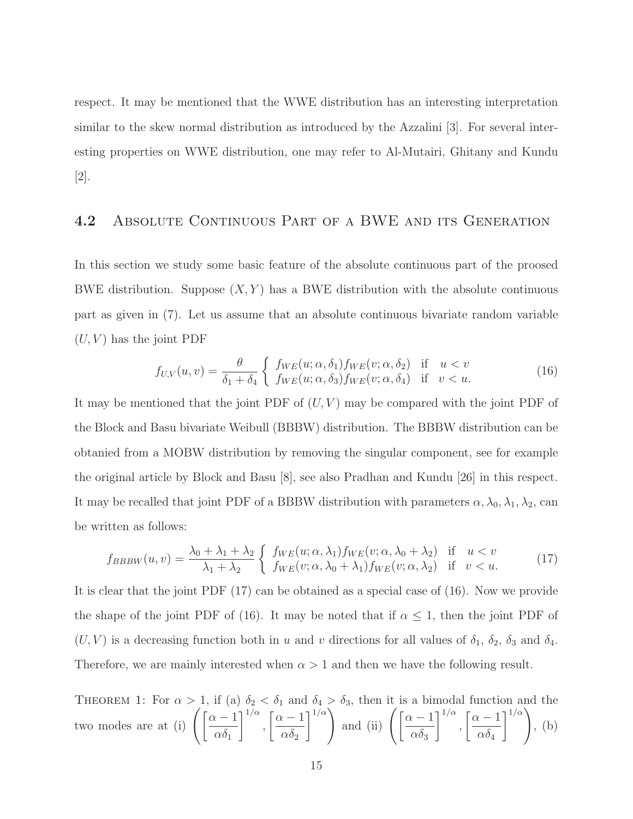respect. It may be mentioned that the WWE distribution has an interesting interpretation similar to the skew normal distribution as introduced by the Azzalini [3]. For several interesting properties on WWE distribution, one may refer to Al-Mutairi, Ghitany and Kundu [2].

#### 4.2 ABSOLUTE CONTINUOUS PART OF A BWE AND ITS GENERATION

In this section we study some basic feature of the absolute continuous part of the proosed BWE distribution. Suppose  $(X, Y)$  has a BWE distribution with the absolute continuous part as given in (7). Let us assume that an absolute continuous bivariate random variable  $(U, V)$  has the joint PDF

$$
f_{U,V}(u,v) = \frac{\theta}{\delta_1 + \delta_4} \begin{cases} f_{WE}(u;\alpha,\delta_1) f_{WE}(v;\alpha,\delta_2) & \text{if } u < v \\ f_{WE}(u;\alpha,\delta_3) f_{WE}(v;\alpha,\delta_4) & \text{if } v < u. \end{cases}
$$
(16)

It may be mentioned that the joint PDF of  $(U, V)$  may be compared with the joint PDF of the Block and Basu bivariate Weibull (BBBW) distribution. The BBBW distribution can be obtanied from a MOBW distribution by removing the singular component, see for example the original article by Block and Basu [8], see also Pradhan and Kundu [26] in this respect. It may be recalled that joint PDF of a BBBW distribution with parameters  $\alpha, \lambda_0, \lambda_1, \lambda_2$ , can be written as follows:

$$
f_{BBBW}(u,v) = \frac{\lambda_0 + \lambda_1 + \lambda_2}{\lambda_1 + \lambda_2} \begin{cases} f_{WE}(u;\alpha,\lambda_1) f_{WE}(v;\alpha,\lambda_0 + \lambda_2) & \text{if } u < v \\ f_{WE}(v;\alpha,\lambda_0 + \lambda_1) f_{WE}(v;\alpha,\lambda_2) & \text{if } v < u. \end{cases}
$$
(17)

It is clear that the joint PDF (17) can be obtained as a special case of (16). Now we provide the shape of the joint PDF of (16). It may be noted that if  $\alpha \leq 1$ , then the joint PDF of  $(U, V)$  is a decreasing function both in u and v directions for all values of  $\delta_1$ ,  $\delta_2$ ,  $\delta_3$  and  $\delta_4$ . Therefore, we are mainly interested when  $\alpha > 1$  and then we have the following result.

THEOREM 1: For  $\alpha > 1$ , if (a)  $\delta_2 < \delta_1$  and  $\delta_4 > \delta_3$ , then it is a bimodal function and the two modes are at (i)  $\left( \frac{\alpha - 1}{s} \right)$  $\alpha\delta_1$ ן  $1/\alpha$ ,  $\lceil \alpha - 1 \rceil$  $\alpha\delta_2$  $\left[\begin{array}{c}1/\alpha\\
\end{array}\right]$  and (ii)  $\left[\begin{array}{c}\alpha-1\\
\end{array}\right]$  $\alpha\delta_3$ ן  $1/\alpha$ ,  $\lceil \alpha - 1 \rceil$  $\alpha\delta_4$  $1/\alpha$ , (b)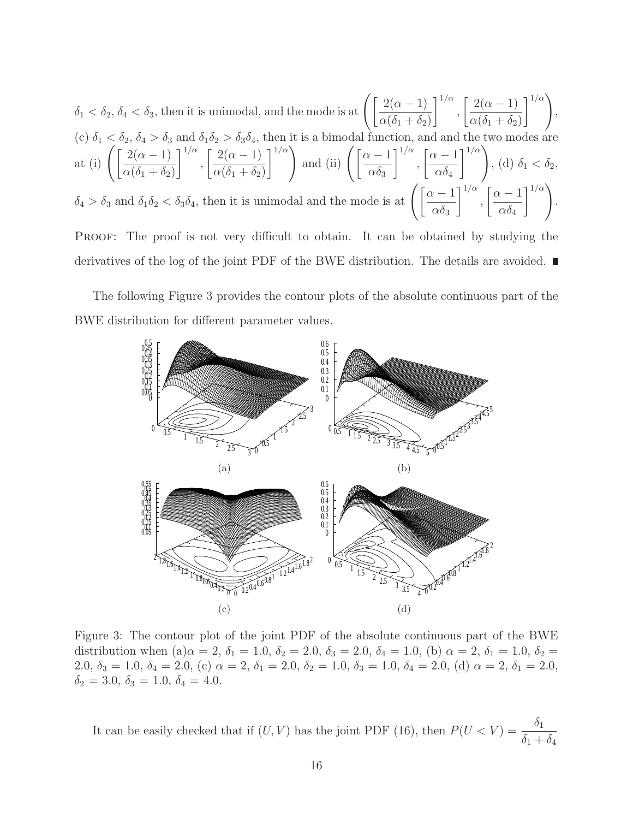$$
\delta_1 < \delta_2, \delta_4 < \delta_3 \text{, then it is unimodal, and the mode is at } \left( \left[ \frac{2(\alpha - 1)}{\alpha(\delta_1 + \delta_2)} \right]^{1/\alpha}, \left[ \frac{2(\alpha - 1)}{\alpha(\delta_1 + \delta_2)} \right]^{1/\alpha} \right),
$$
\n
$$
(c) \ \delta_1 < \delta_2, \delta_4 > \delta_3 \text{ and } \delta_1 \delta_2 > \delta_3 \delta_4 \text{, then it is a bimodal function, and and the two modes are at (i) 
$$
\left( \left[ \frac{2(\alpha - 1)}{\alpha(\delta_1 + \delta_2)} \right]^{1/\alpha}, \left[ \frac{2(\alpha - 1)}{\alpha(\delta_1 + \delta_2)} \right]^{1/\alpha} \right) \text{ and (ii) } \left( \left[ \frac{\alpha - 1}{\alpha \delta_3} \right]^{1/\alpha}, \left[ \frac{\alpha - 1}{\alpha \delta_4} \right]^{1/\alpha} \right), (d) \ \delta_1 < \delta_2,
$$
\n
$$
\delta_4 > \delta_3 \text{ and } \delta_1 \delta_2 < \delta_3 \delta_4 \text{, then it is unimodal and the mode is at } \left( \left[ \frac{\alpha - 1}{\alpha \delta_3} \right]^{1/\alpha}, \left[ \frac{\alpha - 1}{\alpha \delta_4} \right]^{1/\alpha} \right).
$$
$$

PROOF: The proof is not very difficult to obtain. It can be obtained by studying the derivatives of the log of the joint PDF of the BWE distribution. The details are avoided.

The following Figure 3 provides the contour plots of the absolute continuous part of the BWE distribution for different parameter values.



Figure 3: The contour plot of the joint PDF of the absolute continuous part of the BWE distribution when (a) $\alpha = 2$ ,  $\delta_1 = 1.0$ ,  $\delta_2 = 2.0$ ,  $\delta_3 = 2.0$ ,  $\delta_4 = 1.0$ , (b)  $\alpha = 2$ ,  $\delta_1 = 1.0$ ,  $\delta_2 =$ 2.0,  $\delta_3 = 1.0$ ,  $\delta_4 = 2.0$ , (c)  $\alpha = 2$ ,  $\delta_1 = 2.0$ ,  $\delta_2 = 1.0$ ,  $\delta_3 = 1.0$ ,  $\delta_4 = 2.0$ , (d)  $\alpha = 2$ ,  $\delta_1 = 2.0$ ,  $\delta_2 = 3.0, \delta_3 = 1.0, \delta_4 = 4.0.$ 

It can be easily checked that if  $(U, V)$  has the joint PDF (16), then  $P(U < V) = \frac{\delta_1}{\delta_2}$  $\delta_1 + \delta_4$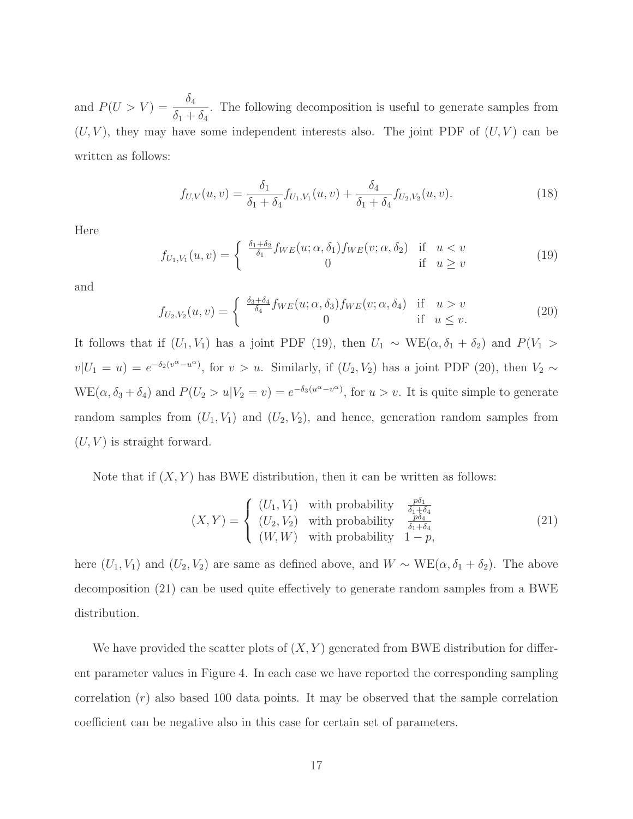and  $P(U > V) = \frac{\delta_4}{s}$  $\frac{\delta_4}{\delta_1 + \delta_4}$ . The following decomposition is useful to generate samples from  $(U, V)$ , they may have some independent interests also. The joint PDF of  $(U, V)$  can be written as follows:

$$
f_{U,V}(u,v) = \frac{\delta_1}{\delta_1 + \delta_4} f_{U_1,V_1}(u,v) + \frac{\delta_4}{\delta_1 + \delta_4} f_{U_2,V_2}(u,v).
$$
 (18)

Here

$$
f_{U_1,V_1}(u,v) = \begin{cases} \frac{\delta_1 + \delta_2}{\delta_1} f_{WE}(u;\alpha,\delta_1) f_{WE}(v;\alpha,\delta_2) & \text{if } u < v \\ 0 & \text{if } u \ge v \end{cases}
$$
(19)

and

$$
f_{U_2,V_2}(u,v) = \begin{cases} \frac{\delta_3 + \delta_4}{\delta_4} f_{WE}(u;\alpha,\delta_3) f_{WE}(v;\alpha,\delta_4) & \text{if } u > v \\ 0 & \text{if } u \le v. \end{cases}
$$
 (20)

It follows that if  $(U_1, V_1)$  has a joint PDF (19), then  $U_1 \sim \text{WE}(\alpha, \delta_1 + \delta_2)$  and  $P(V_1 >$  $v|U_1 = u$ ) =  $e^{-\delta_2(v^{\alpha} - u^{\alpha})}$ , for  $v > u$ . Similarly, if  $(U_2, V_2)$  has a joint PDF (20), then  $V_2 \sim$  $WE(\alpha, \delta_3 + \delta_4)$  and  $P(U_2 > u | V_2 = v) = e^{-\delta_3(u^{\alpha} - v^{\alpha})}$ , for  $u > v$ . It is quite simple to generate random samples from  $(U_1, V_1)$  and  $(U_2, V_2)$ , and hence, generation random samples from  $(U, V)$  is straight forward.

Note that if  $(X, Y)$  has BWE distribution, then it can be written as follows:

$$
(X,Y) = \begin{cases} (U_1, V_1) & \text{with probability} \\ (U_2, V_2) & \text{with probability} \\ (W, W) & \text{with probability} \end{cases} \begin{cases} \frac{p\delta_1}{\delta_1 + \delta_4} \\ \frac{p\delta_4}{\delta_1 + \delta_4} \\ 1 - p, \end{cases}
$$
 (21)

here  $(U_1, V_1)$  and  $(U_2, V_2)$  are same as defined above, and  $W \sim \text{WE}(\alpha, \delta_1 + \delta_2)$ . The above decomposition (21) can be used quite effectively to generate random samples from a BWE distribution.

We have provided the scatter plots of  $(X, Y)$  generated from BWE distribution for different parameter values in Figure 4. In each case we have reported the corresponding sampling correlation  $(r)$  also based 100 data points. It may be observed that the sample correlation coefficient can be negative also in this case for certain set of parameters.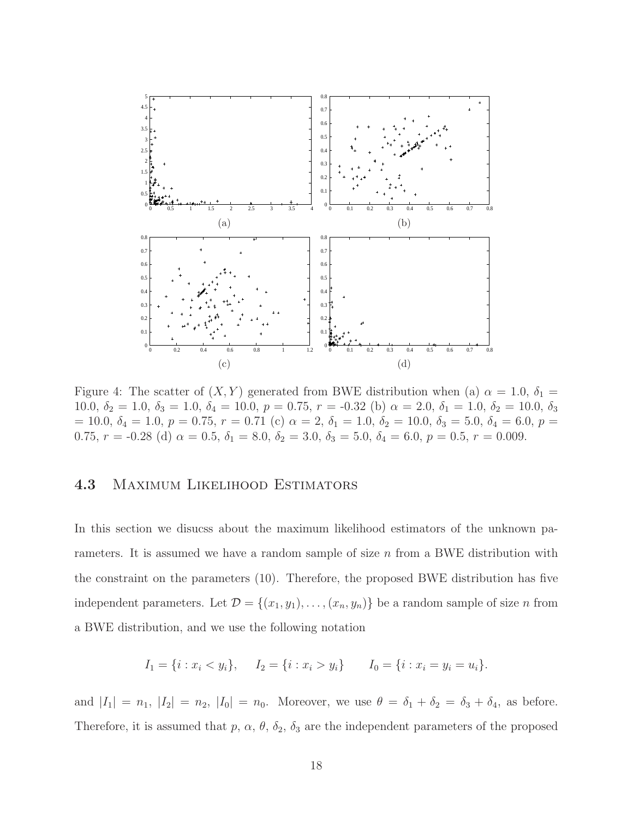

Figure 4: The scatter of  $(X, Y)$  generated from BWE distribution when (a)  $\alpha = 1.0, \delta_1 =$ 10.0,  $\delta_2 = 1.0$ ,  $\delta_3 = 1.0$ ,  $\delta_4 = 10.0$ ,  $p = 0.75$ ,  $r = -0.32$  (b)  $\alpha = 2.0$ ,  $\delta_1 = 1.0$ ,  $\delta_2 = 10.0$ ,  $\delta_3$  $= 10.0, \delta_4 = 1.0, p = 0.75, r = 0.71$  (c)  $\alpha = 2, \delta_1 = 1.0, \delta_2 = 10.0, \delta_3 = 5.0, \delta_4 = 6.0, p = 0.01$ 0.75,  $r = -0.28$  (d)  $\alpha = 0.5$ ,  $\delta_1 = 8.0$ ,  $\delta_2 = 3.0$ ,  $\delta_3 = 5.0$ ,  $\delta_4 = 6.0$ ,  $p = 0.5$ ,  $r = 0.009$ .

#### 4.3 Maximum Likelihood Estimators

In this section we disucss about the maximum likelihood estimators of the unknown parameters. It is assumed we have a random sample of size  $n$  from a BWE distribution with the constraint on the parameters (10). Therefore, the proposed BWE distribution has five independent parameters. Let  $\mathcal{D} = \{(x_1, y_1), \ldots, (x_n, y_n)\}\)$  be a random sample of size n from a BWE distribution, and we use the following notation

$$
I_1 = \{i : x_i < y_i\}, \quad I_2 = \{i : x_i > y_i\} \quad I_0 = \{i : x_i = y_i = u_i\}.
$$

and  $|I_1| = n_1$ ,  $|I_2| = n_2$ ,  $|I_0| = n_0$ . Moreover, we use  $\theta = \delta_1 + \delta_2 = \delta_3 + \delta_4$ , as before. Therefore, it is assumed that p,  $\alpha$ ,  $\theta$ ,  $\delta_2$ ,  $\delta_3$  are the independent parameters of the proposed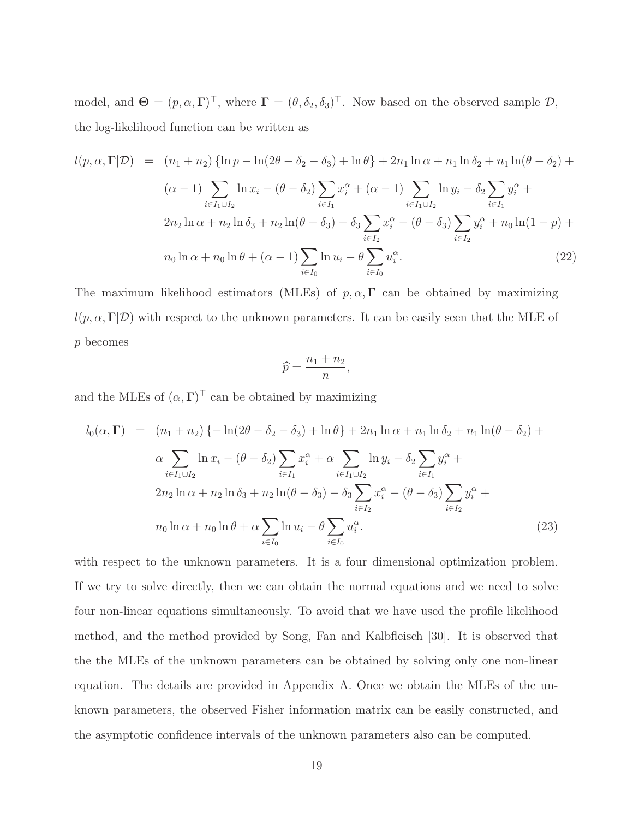model, and  $\mathbf{\Theta} = (p, \alpha, \Gamma)^{\top}$ , where  $\mathbf{\Gamma} = (\theta, \delta_2, \delta_3)^{\top}$ . Now based on the observed sample  $\mathcal{D}$ , the log-likelihood function can be written as

$$
l(p, \alpha, \Gamma | \mathcal{D}) = (n_1 + n_2) \{ \ln p - \ln(2\theta - \delta_2 - \delta_3) + \ln \theta \} + 2n_1 \ln \alpha + n_1 \ln \delta_2 + n_1 \ln(\theta - \delta_2) +
$$
  
\n
$$
(\alpha - 1) \sum_{i \in I_1 \cup I_2} \ln x_i - (\theta - \delta_2) \sum_{i \in I_1} x_i^{\alpha} + (\alpha - 1) \sum_{i \in I_1 \cup I_2} \ln y_i - \delta_2 \sum_{i \in I_1} y_i^{\alpha} +
$$
  
\n
$$
2n_2 \ln \alpha + n_2 \ln \delta_3 + n_2 \ln(\theta - \delta_3) - \delta_3 \sum_{i \in I_2} x_i^{\alpha} - (\theta - \delta_3) \sum_{i \in I_2} y_i^{\alpha} + n_0 \ln(1 - p) +
$$
  
\n
$$
n_0 \ln \alpha + n_0 \ln \theta + (\alpha - 1) \sum_{i \in I_0} \ln u_i - \theta \sum_{i \in I_0} u_i^{\alpha}.
$$
\n(22)

The maximum likelihood estimators (MLEs) of  $p, \alpha, \Gamma$  can be obtained by maximizing  $l(p, \alpha, \Gamma | \mathcal{D})$  with respect to the unknown parameters. It can be easily seen that the MLE of p becomes

$$
\widehat{p} = \frac{n_1 + n_2}{n},
$$

and the MLEs of  $(\alpha, \Gamma)^{\top}$  can be obtained by maximizing

$$
l_0(\alpha, \Gamma) = (n_1 + n_2) \{-\ln(2\theta - \delta_2 - \delta_3) + \ln \theta\} + 2n_1 \ln \alpha + n_1 \ln \delta_2 + n_1 \ln(\theta - \delta_2) + \alpha \sum_{i \in I_1 \cup I_2} \ln x_i - (\theta - \delta_2) \sum_{i \in I_1} x_i^{\alpha} + \alpha \sum_{i \in I_1 \cup I_2} \ln y_i - \delta_2 \sum_{i \in I_1} y_i^{\alpha} + 2n_2 \ln \alpha + n_2 \ln \delta_3 + n_2 \ln(\theta - \delta_3) - \delta_3 \sum_{i \in I_2} x_i^{\alpha} - (\theta - \delta_3) \sum_{i \in I_2} y_i^{\alpha} + n_0 \ln \alpha + n_0 \ln \theta + \alpha \sum_{i \in I_0} \ln u_i - \theta \sum_{i \in I_0} u_i^{\alpha}.
$$
 (23)

with respect to the unknown parameters. It is a four dimensional optimization problem. If we try to solve directly, then we can obtain the normal equations and we need to solve four non-linear equations simultaneously. To avoid that we have used the profile likelihood method, and the method provided by Song, Fan and Kalbfleisch [30]. It is observed that the the MLEs of the unknown parameters can be obtained by solving only one non-linear equation. The details are provided in Appendix A. Once we obtain the MLEs of the unknown parameters, the observed Fisher information matrix can be easily constructed, and the asymptotic confidence intervals of the unknown parameters also can be computed.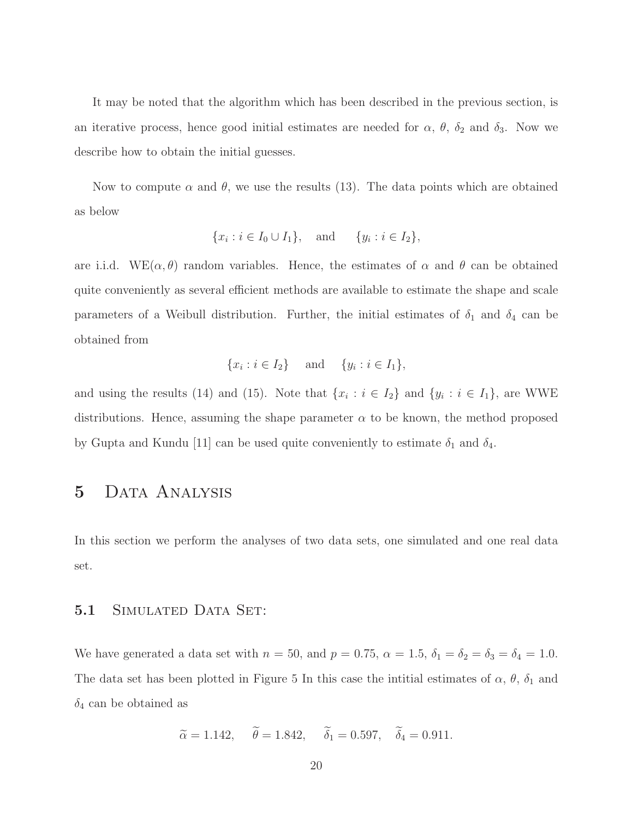It may be noted that the algorithm which has been described in the previous section, is an iterative process, hence good initial estimates are needed for  $\alpha$ ,  $\theta$ ,  $\delta_2$  and  $\delta_3$ . Now we describe how to obtain the initial guesses.

Now to compute  $\alpha$  and  $\theta$ , we use the results (13). The data points which are obtained as below

$$
\{x_i : i \in I_0 \cup I_1\}, \text{ and } \{y_i : i \in I_2\},\
$$

are i.i.d.  $WE(\alpha, \theta)$  random variables. Hence, the estimates of  $\alpha$  and  $\theta$  can be obtained quite conveniently as several efficient methods are available to estimate the shape and scale parameters of a Weibull distribution. Further, the initial estimates of  $\delta_1$  and  $\delta_4$  can be obtained from

$$
\{x_i : i \in I_2\} \text{ and } \{y_i : i \in I_1\},\
$$

and using the results (14) and (15). Note that  $\{x_i : i \in I_2\}$  and  $\{y_i : i \in I_1\}$ , are WWE distributions. Hence, assuming the shape parameter  $\alpha$  to be known, the method proposed by Gupta and Kundu [11] can be used quite conveniently to estimate  $\delta_1$  and  $\delta_4$ .

# 5 DATA ANALYSIS

In this section we perform the analyses of two data sets, one simulated and one real data set.

#### 5.1 SIMULATED DATA SET:

We have generated a data set with  $n = 50$ , and  $p = 0.75$ ,  $\alpha = 1.5$ ,  $\delta_1 = \delta_2 = \delta_3 = \delta_4 = 1.0$ . The data set has been plotted in Figure 5 In this case the intitial estimates of  $\alpha$ ,  $\theta$ ,  $\delta_1$  and  $\delta_4$  can be obtained as

$$
\widetilde{\alpha} = 1.142, \quad \widetilde{\theta} = 1.842, \quad \widetilde{\delta}_1 = 0.597, \quad \widetilde{\delta}_4 = 0.911.
$$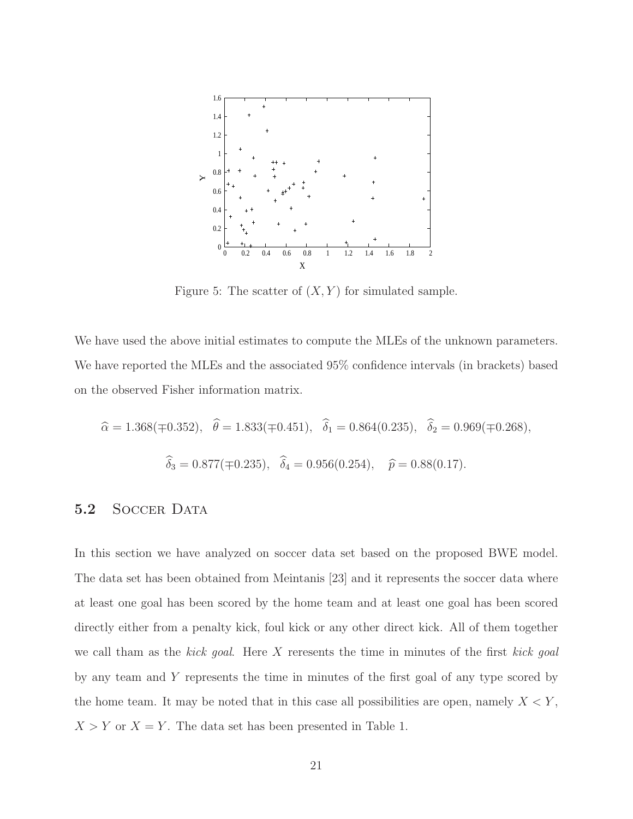

Figure 5: The scatter of  $(X, Y)$  for simulated sample.

We have used the above initial estimates to compute the MLEs of the unknown parameters. We have reported the MLEs and the associated 95% confidence intervals (in brackets) based on the observed Fisher information matrix.

$$
\hat{\alpha} = 1.368(\pm 0.352), \quad \hat{\theta} = 1.833(\pm 0.451), \quad \hat{\delta}_1 = 0.864(0.235), \quad \hat{\delta}_2 = 0.969(\pm 0.268),
$$
  

$$
\hat{\delta}_3 = 0.877(\pm 0.235), \quad \hat{\delta}_4 = 0.956(0.254), \quad \hat{p} = 0.88(0.17).
$$

#### 5.2 SOCCER DATA

In this section we have analyzed on soccer data set based on the proposed BWE model. The data set has been obtained from Meintanis [23] and it represents the soccer data where at least one goal has been scored by the home team and at least one goal has been scored directly either from a penalty kick, foul kick or any other direct kick. All of them together we call tham as the kick goal. Here X reresents the time in minutes of the first kick goal by any team and Y represents the time in minutes of the first goal of any type scored by the home team. It may be noted that in this case all possibilities are open, namely  $X \leq Y$ ,  $X > Y$  or  $X = Y$ . The data set has been presented in Table 1.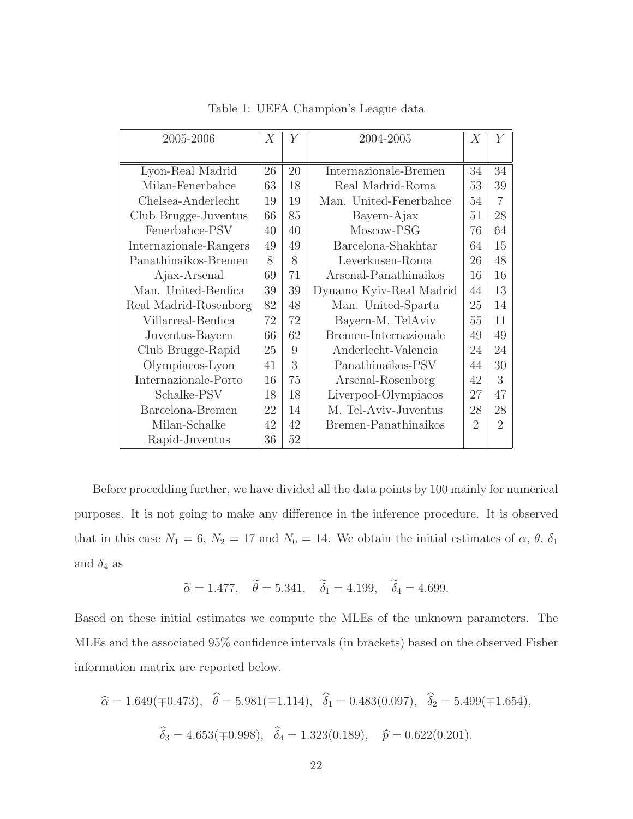| 2005-2006              | X  | Y  | 2004-2005               | X              | $\boldsymbol{Y}$            |
|------------------------|----|----|-------------------------|----------------|-----------------------------|
|                        |    |    |                         |                |                             |
| Lyon-Real Madrid       | 26 | 20 | Internazionale-Bremen   | 34             | 34                          |
| Milan-Fenerbahce       | 63 | 18 | Real Madrid-Roma        | 53             | 39                          |
| Chelsea-Anderlecht     | 19 | 19 | Man. United-Fenerbahce  | 54             | 7                           |
| Club Brugge-Juventus   | 66 | 85 | Bayern-Ajax             | 51             | 28                          |
| Fenerbahce-PSV         | 40 | 40 | Moscow-PSG              | 76             | 64                          |
| Internazionale-Rangers | 49 | 49 | Barcelona-Shakhtar      | 64             | 15                          |
| Panathinaikos-Bremen   | 8  | 8  | Leverkusen-Roma         | 26             | 48                          |
| Ajax-Arsenal           | 69 | 71 | Arsenal-Panathinaikos   | 16             | 16                          |
| Man. United-Benfica    | 39 | 39 | Dynamo Kyiv-Real Madrid | 44             | 13                          |
| Real Madrid-Rosenborg  | 82 | 48 | Man. United-Sparta      | 25             | 14                          |
| Villarreal-Benfica     | 72 | 72 | Bayern-M. TelAviv       | 55             | 11                          |
| Juventus-Bayern        | 66 | 62 | Bremen-Internazionale   | 49             | 49                          |
| Club Brugge-Rapid      | 25 | 9  | Anderlecht-Valencia     | 24             | 24                          |
| Olympiacos-Lyon        | 41 | 3  | Panathinaikos-PSV       | 44             | 30                          |
| Internazionale-Porto   | 16 | 75 | Arsenal-Rosenborg       | 42             | 3                           |
| Schalke-PSV            | 18 | 18 | Liverpool-Olympiacos    | 27             | 47                          |
| Barcelona-Bremen       | 22 | 14 | M. Tel-Aviv-Juventus    | 28             | 28                          |
| Milan-Schalke          | 42 | 42 | Bremen-Panathinaikos    | $\overline{2}$ | $\mathcal{D}_{\mathcal{A}}$ |
| Rapid-Juventus         | 36 | 52 |                         |                |                             |

Table 1: UEFA Champion's League data

Before procedding further, we have divided all the data points by 100 mainly for numerical purposes. It is not going to make any difference in the inference procedure. It is observed that in this case  $N_1 = 6$ ,  $N_2 = 17$  and  $N_0 = 14$ . We obtain the initial estimates of  $\alpha$ ,  $\theta$ ,  $\delta_1$ and  $\delta_4$  as

$$
\widetilde{\alpha} = 1.477, \quad \widetilde{\theta} = 5.341, \quad \widetilde{\delta}_1 = 4.199, \quad \widetilde{\delta}_4 = 4.699.
$$

Based on these initial estimates we compute the MLEs of the unknown parameters. The MLEs and the associated 95% confidence intervals (in brackets) based on the observed Fisher information matrix are reported below.

$$
\hat{\alpha} = 1.649(\pm 0.473), \quad \hat{\theta} = 5.981(\pm 1.114), \quad \hat{\delta}_1 = 0.483(0.097), \quad \hat{\delta}_2 = 5.499(\pm 1.654),
$$
  

$$
\hat{\delta}_3 = 4.653(\pm 0.998), \quad \hat{\delta}_4 = 1.323(0.189), \quad \hat{p} = 0.622(0.201).
$$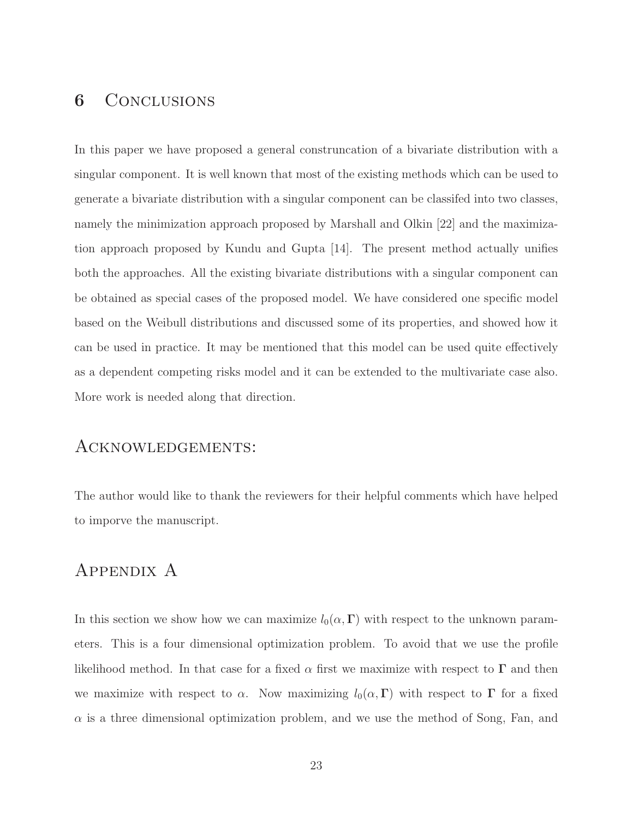### 6 Conclusions

In this paper we have proposed a general construncation of a bivariate distribution with a singular component. It is well known that most of the existing methods which can be used to generate a bivariate distribution with a singular component can be classifed into two classes, namely the minimization approach proposed by Marshall and Olkin [22] and the maximization approach proposed by Kundu and Gupta [14]. The present method actually unifies both the approaches. All the existing bivariate distributions with a singular component can be obtained as special cases of the proposed model. We have considered one specific model based on the Weibull distributions and discussed some of its properties, and showed how it can be used in practice. It may be mentioned that this model can be used quite effectively as a dependent competing risks model and it can be extended to the multivariate case also. More work is needed along that direction.

#### Acknowledgements:

The author would like to thank the reviewers for their helpful comments which have helped to imporve the manuscript.

# Appendix A

In this section we show how we can maximize  $l_0(\alpha,\Gamma)$  with respect to the unknown parameters. This is a four dimensional optimization problem. To avoid that we use the profile likelihood method. In that case for a fixed  $\alpha$  first we maximize with respect to  $\Gamma$  and then we maximize with respect to  $\alpha$ . Now maximizing  $l_0(\alpha,\Gamma)$  with respect to  $\Gamma$  for a fixed  $\alpha$  is a three dimensional optimization problem, and we use the method of Song, Fan, and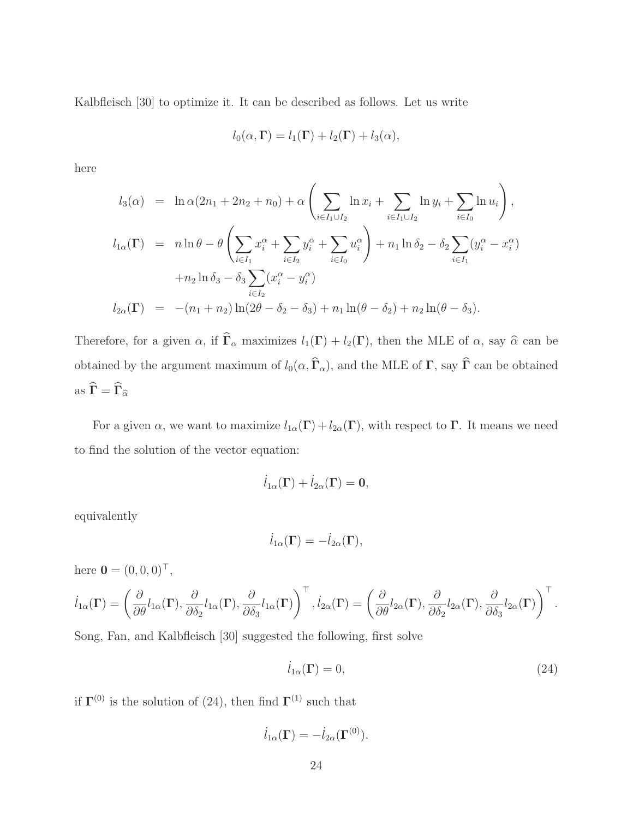Kalbfleisch [30] to optimize it. It can be described as follows. Let us write

$$
l_0(\alpha,\Gamma) = l_1(\Gamma) + l_2(\Gamma) + l_3(\alpha),
$$

here

$$
l_3(\alpha) = \ln \alpha (2n_1 + 2n_2 + n_0) + \alpha \left( \sum_{i \in I_1 \cup I_2} \ln x_i + \sum_{i \in I_1 \cup I_2} \ln y_i + \sum_{i \in I_0} \ln u_i \right),
$$
  
\n
$$
l_{1\alpha}(\Gamma) = n \ln \theta - \theta \left( \sum_{i \in I_1} x_i^{\alpha} + \sum_{i \in I_2} y_i^{\alpha} + \sum_{i \in I_0} u_i^{\alpha} \right) + n_1 \ln \delta_2 - \delta_2 \sum_{i \in I_1} (y_i^{\alpha} - x_i^{\alpha})
$$
  
\n
$$
+ n_2 \ln \delta_3 - \delta_3 \sum_{i \in I_2} (x_i^{\alpha} - y_i^{\alpha})
$$
  
\n
$$
l_{2\alpha}(\Gamma) = -(n_1 + n_2) \ln(2\theta - \delta_2 - \delta_3) + n_1 \ln(\theta - \delta_2) + n_2 \ln(\theta - \delta_3).
$$

Therefore, for a given  $\alpha$ , if  $\hat{\Gamma}_{\alpha}$  maximizes  $l_1(\Gamma) + l_2(\Gamma)$ , then the MLE of  $\alpha$ , say  $\hat{\alpha}$  can be obtained by the argument maximum of  $l_0(\alpha, \widehat{\Gamma}_{\alpha})$ , and the MLE of  $\Gamma$ , say  $\widehat{\Gamma}$  can be obtained as  $\widehat{\Gamma} = \widehat{\Gamma}_{\widehat{\alpha}}$ 

For a given  $\alpha$ , we want to maximize  $l_{1\alpha}(\Gamma) + l_{2\alpha}(\Gamma)$ , with respect to  $\Gamma$ . It means we need to find the solution of the vector equation:

$$
\dot{l}_{1\alpha}(\Gamma) + \dot{l}_{2\alpha}(\Gamma) = 0,
$$

equivalently

$$
\dot{l}_{1\alpha}(\Gamma) = -\dot{l}_{2\alpha}(\Gamma),
$$

here  $\mathbf{0} = (0, 0, 0)^{\top}$ ,

$$
\dot{l}_{1\alpha}(\Gamma) = \left(\frac{\partial}{\partial \theta} l_{1\alpha}(\Gamma), \frac{\partial}{\partial \delta_2} l_{1\alpha}(\Gamma), \frac{\partial}{\partial \delta_3} l_{1\alpha}(\Gamma)\right)^{\top}, \dot{l}_{2\alpha}(\Gamma) = \left(\frac{\partial}{\partial \theta} l_{2\alpha}(\Gamma), \frac{\partial}{\partial \delta_2} l_{2\alpha}(\Gamma), \frac{\partial}{\partial \delta_3} l_{2\alpha}(\Gamma)\right)^{\top}.
$$

Song, Fan, and Kalbfleisch [30] suggested the following, first solve

$$
\dot{l}_{1\alpha}(\Gamma) = 0,\t\t(24)
$$

if  $\Gamma^{(0)}$  is the solution of (24), then find  $\Gamma^{(1)}$  such that

$$
\dot{l}_{1\alpha}(\Gamma) = -\dot{l}_{2\alpha}(\Gamma^{(0)}).
$$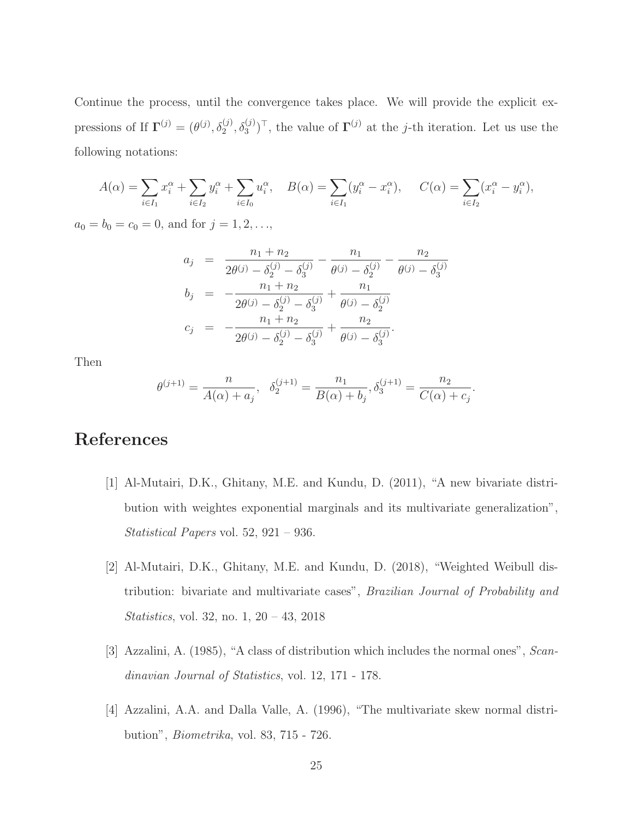Continue the process, until the convergence takes place. We will provide the explicit expressions of If  $\Gamma^{(j)} = (\theta^{(j)}, \delta_2^{(j)}, \delta_3^{(j)})^\top$ , the value of  $\Gamma^{(j)}$  at the j-th iteration. Let us use the following notations:

$$
A(\alpha) = \sum_{i \in I_1} x_i^{\alpha} + \sum_{i \in I_2} y_i^{\alpha} + \sum_{i \in I_0} u_i^{\alpha}, \quad B(\alpha) = \sum_{i \in I_1} (y_i^{\alpha} - x_i^{\alpha}), \quad C(\alpha) = \sum_{i \in I_2} (x_i^{\alpha} - y_i^{\alpha}),
$$

 $a_0 = b_0 = c_0 = 0$ , and for  $j = 1, 2, \ldots$ ,

$$
a_j = \frac{n_1 + n_2}{2\theta^{(j)} - \delta_2^{(j)} - \delta_3^{(j)}} - \frac{n_1}{\theta^{(j)} - \delta_2^{(j)}} - \frac{n_2}{\theta^{(j)} - \delta_3^{(j)}}
$$
  
\n
$$
b_j = -\frac{n_1 + n_2}{2\theta^{(j)} - \delta_2^{(j)} - \delta_3^{(j)}} + \frac{n_1}{\theta^{(j)} - \delta_2^{(j)}}
$$
  
\n
$$
c_j = -\frac{n_1 + n_2}{2\theta^{(j)} - \delta_2^{(j)} - \delta_3^{(j)}} + \frac{n_2}{\theta^{(j)} - \delta_3^{(j)}}.
$$

Then

$$
\theta^{(j+1)} = \frac{n}{A(\alpha) + a_j}, \quad \delta_2^{(j+1)} = \frac{n_1}{B(\alpha) + b_j}, \delta_3^{(j+1)} = \frac{n_2}{C(\alpha) + c_j}.
$$

# References

- [1] Al-Mutairi, D.K., Ghitany, M.E. and Kundu, D. (2011), "A new bivariate distribution with weightes exponential marginals and its multivariate generalization", Statistical Papers vol. 52, 921 – 936.
- [2] Al-Mutairi, D.K., Ghitany, M.E. and Kundu, D. (2018), "Weighted Weibull distribution: bivariate and multivariate cases", Brazilian Journal of Probability and Statistics, vol. 32, no. 1, 20 – 43, 2018
- [3] Azzalini, A. (1985), "A class of distribution which includes the normal ones", Scandinavian Journal of Statistics, vol. 12, 171 - 178.
- [4] Azzalini, A.A. and Dalla Valle, A. (1996), "The multivariate skew normal distribution", Biometrika, vol. 83, 715 - 726.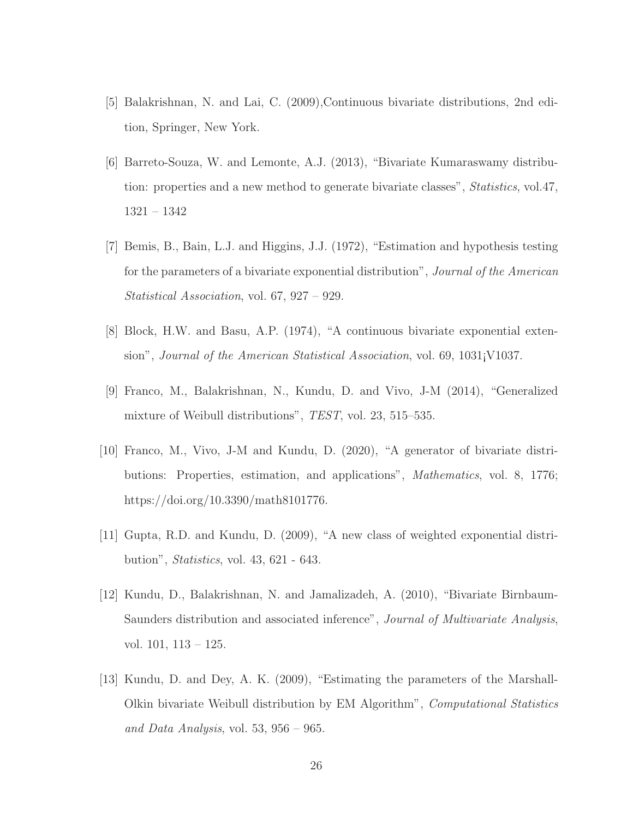- [5] Balakrishnan, N. and Lai, C. (2009),Continuous bivariate distributions, 2nd edition, Springer, New York.
- [6] Barreto-Souza, W. and Lemonte, A.J. (2013), "Bivariate Kumaraswamy distribution: properties and a new method to generate bivariate classes", Statistics, vol.47, 1321 – 1342
- [7] Bemis, B., Bain, L.J. and Higgins, J.J. (1972), "Estimation and hypothesis testing for the parameters of a bivariate exponential distribution", Journal of the American Statistical Association, vol. 67, 927 – 929.
- [8] Block, H.W. and Basu, A.P. (1974), "A continuous bivariate exponential extension", Journal of the American Statistical Association, vol. 69, 1031¡V1037.
- [9] Franco, M., Balakrishnan, N., Kundu, D. and Vivo, J-M (2014), "Generalized mixture of Weibull distributions", TEST, vol. 23, 515–535.
- [10] Franco, M., Vivo, J-M and Kundu, D. (2020), "A generator of bivariate distributions: Properties, estimation, and applications", Mathematics, vol. 8, 1776; https://doi.org/10.3390/math8101776.
- [11] Gupta, R.D. and Kundu, D. (2009), "A new class of weighted exponential distribution", Statistics, vol. 43, 621 - 643.
- [12] Kundu, D., Balakrishnan, N. and Jamalizadeh, A. (2010), "Bivariate Birnbaum-Saunders distribution and associated inference", *Journal of Multivariate Analysis*, vol. 101, 113 – 125.
- [13] Kundu, D. and Dey, A. K. (2009), "Estimating the parameters of the Marshall-Olkin bivariate Weibull distribution by EM Algorithm", Computational Statistics and Data Analysis, vol. 53,  $956 - 965$ .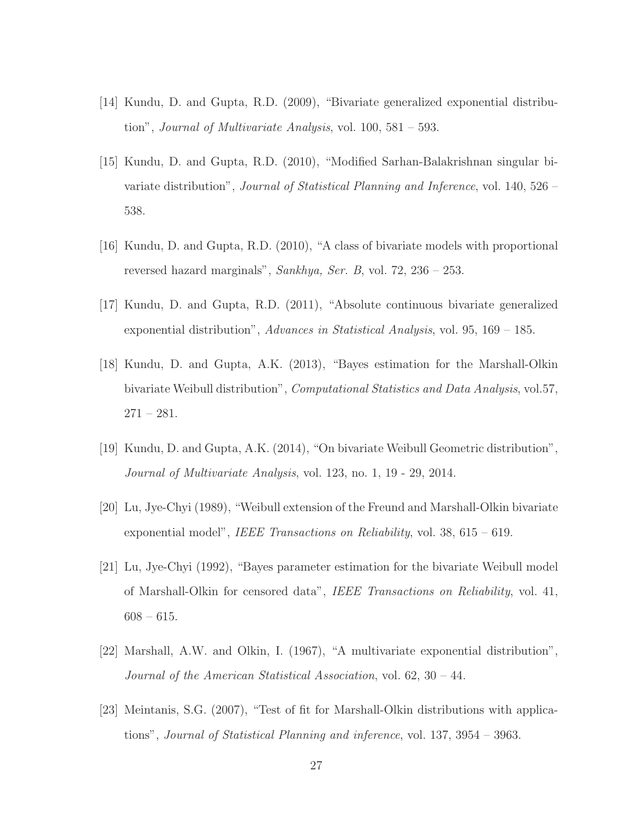- [14] Kundu, D. and Gupta, R.D. (2009), "Bivariate generalized exponential distribution", *Journal of Multivariate Analysis*, vol.  $100, 581 - 593$ .
- [15] Kundu, D. and Gupta, R.D. (2010), "Modified Sarhan-Balakrishnan singular bivariate distribution", Journal of Statistical Planning and Inference, vol. 140, 526 – 538.
- [16] Kundu, D. and Gupta, R.D. (2010), "A class of bivariate models with proportional reversed hazard marginals", Sankhya, Ser. B, vol. 72,  $236 - 253$ .
- [17] Kundu, D. and Gupta, R.D. (2011), "Absolute continuous bivariate generalized exponential distribution", Advances in Statistical Analysis, vol. 95,  $169 - 185$ .
- [18] Kundu, D. and Gupta, A.K. (2013), "Bayes estimation for the Marshall-Olkin bivariate Weibull distribution", Computational Statistics and Data Analysis, vol.57,  $271 - 281.$
- [19] Kundu, D. and Gupta, A.K. (2014), "On bivariate Weibull Geometric distribution", Journal of Multivariate Analysis, vol. 123, no. 1, 19 - 29, 2014.
- [20] Lu, Jye-Chyi (1989), "Weibull extension of the Freund and Marshall-Olkin bivariate exponential model", *IEEE Transactions on Reliability*, vol.  $38, 615 - 619$ .
- [21] Lu, Jye-Chyi (1992), "Bayes parameter estimation for the bivariate Weibull model of Marshall-Olkin for censored data", IEEE Transactions on Reliability, vol. 41,  $608 - 615.$
- [22] Marshall, A.W. and Olkin, I. (1967), "A multivariate exponential distribution", Journal of the American Statistical Association, vol. 62, 30 – 44.
- [23] Meintanis, S.G. (2007), "Test of fit for Marshall-Olkin distributions with applications", Journal of Statistical Planning and inference, vol. 137, 3954 – 3963.